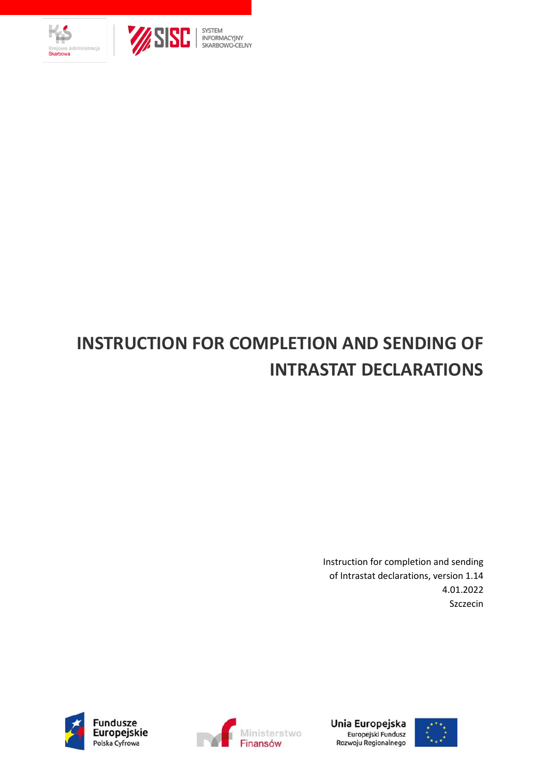<span id="page-0-0"></span>



# SYSTEM<br>| INFORMACYJNY<br>| SKARBOWO-CELNY

## **INSTRUCTION FOR COMPLETION AND SENDING OF INTRASTAT DECLARATIONS**

Instruction for completion and sending of Intrastat declarations, version 1.14 4.01.2022 Szczecin







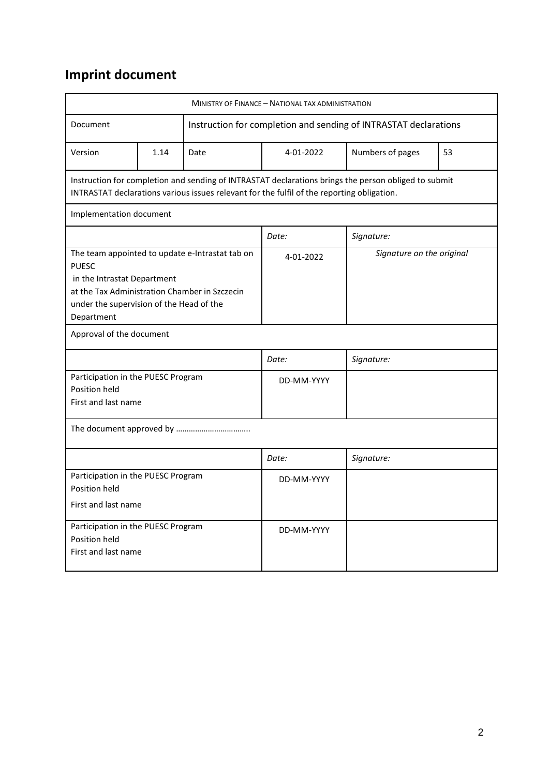### **Imprint document**

| MINISTRY OF FINANCE - NATIONAL TAX ADMINISTRATION                                                                                                                                                         |                                                                                                                                                                                                    |            |                                                                  |                  |    |  |
|-----------------------------------------------------------------------------------------------------------------------------------------------------------------------------------------------------------|----------------------------------------------------------------------------------------------------------------------------------------------------------------------------------------------------|------------|------------------------------------------------------------------|------------------|----|--|
| Document                                                                                                                                                                                                  |                                                                                                                                                                                                    |            | Instruction for completion and sending of INTRASTAT declarations |                  |    |  |
| Version                                                                                                                                                                                                   | 1.14                                                                                                                                                                                               | Date       | 4-01-2022                                                        | Numbers of pages | 53 |  |
|                                                                                                                                                                                                           | Instruction for completion and sending of INTRASTAT declarations brings the person obliged to submit<br>INTRASTAT declarations various issues relevant for the fulfil of the reporting obligation. |            |                                                                  |                  |    |  |
| Implementation document                                                                                                                                                                                   |                                                                                                                                                                                                    |            |                                                                  |                  |    |  |
|                                                                                                                                                                                                           |                                                                                                                                                                                                    |            | Date:                                                            | Signature:       |    |  |
| The team appointed to update e-Intrastat tab on<br><b>PUESC</b><br>in the Intrastat Department<br>at the Tax Administration Chamber in Szczecin<br>under the supervision of the Head of the<br>Department |                                                                                                                                                                                                    | 4-01-2022  | Signature on the original                                        |                  |    |  |
| Approval of the document                                                                                                                                                                                  |                                                                                                                                                                                                    |            |                                                                  |                  |    |  |
|                                                                                                                                                                                                           |                                                                                                                                                                                                    |            | Date:                                                            | Signature:       |    |  |
| Participation in the PUESC Program<br>Position held<br>First and last name                                                                                                                                |                                                                                                                                                                                                    | DD-MM-YYYY |                                                                  |                  |    |  |
|                                                                                                                                                                                                           |                                                                                                                                                                                                    |            |                                                                  |                  |    |  |
|                                                                                                                                                                                                           |                                                                                                                                                                                                    |            | Date:                                                            | Signature:       |    |  |
| Participation in the PUESC Program<br>Position held<br>First and last name                                                                                                                                |                                                                                                                                                                                                    |            | DD-MM-YYYY                                                       |                  |    |  |
| Participation in the PUESC Program<br>Position held<br>First and last name                                                                                                                                |                                                                                                                                                                                                    |            | DD-MM-YYYY                                                       |                  |    |  |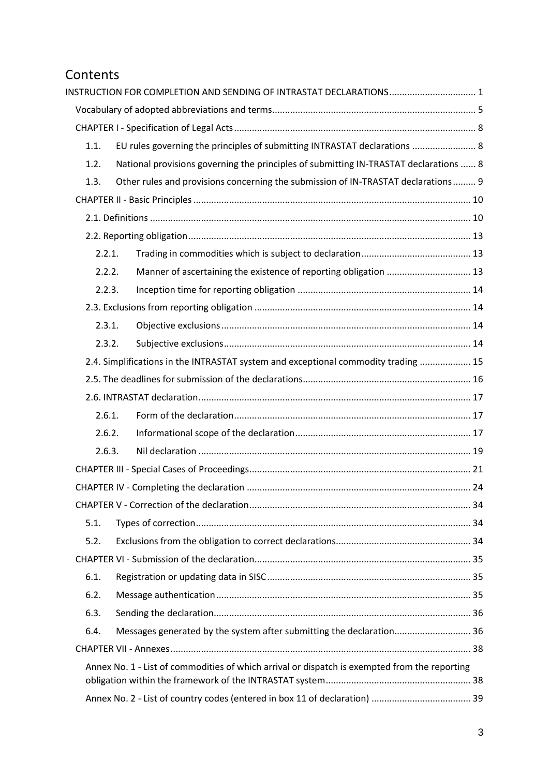### Contents

| 1.1.   | EU rules governing the principles of submitting INTRASTAT declarations  8                     |  |
|--------|-----------------------------------------------------------------------------------------------|--|
| 1.2.   | National provisions governing the principles of submitting IN-TRASTAT declarations  8         |  |
| 1.3.   | Other rules and provisions concerning the submission of IN-TRASTAT declarations  9            |  |
|        |                                                                                               |  |
|        |                                                                                               |  |
|        |                                                                                               |  |
| 2.2.1. |                                                                                               |  |
| 2.2.2. | Manner of ascertaining the existence of reporting obligation  13                              |  |
| 2.2.3. |                                                                                               |  |
|        |                                                                                               |  |
| 2.3.1. |                                                                                               |  |
| 2.3.2. |                                                                                               |  |
|        | 2.4. Simplifications in the INTRASTAT system and exceptional commodity trading  15            |  |
|        |                                                                                               |  |
|        |                                                                                               |  |
| 2.6.1. |                                                                                               |  |
| 2.6.2. |                                                                                               |  |
| 2.6.3. |                                                                                               |  |
|        |                                                                                               |  |
|        |                                                                                               |  |
|        |                                                                                               |  |
| 5.1.   |                                                                                               |  |
| 5.2.   |                                                                                               |  |
|        |                                                                                               |  |
| 6.1.   |                                                                                               |  |
| 6.2.   |                                                                                               |  |
| 6.3.   |                                                                                               |  |
| 6.4.   | Messages generated by the system after submitting the declaration 36                          |  |
|        |                                                                                               |  |
|        | Annex No. 1 - List of commodities of which arrival or dispatch is exempted from the reporting |  |
|        |                                                                                               |  |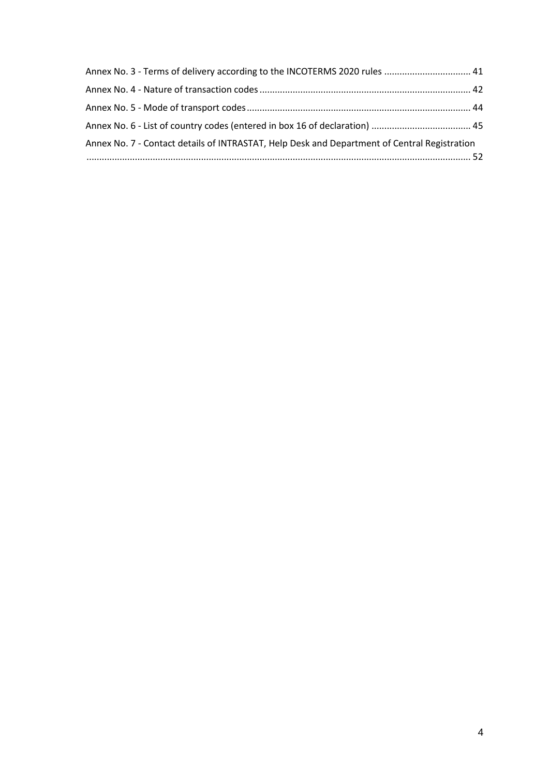| Annex No. 3 - Terms of delivery according to the INCOTERMS 2020 rules  41                    |  |
|----------------------------------------------------------------------------------------------|--|
|                                                                                              |  |
|                                                                                              |  |
|                                                                                              |  |
| Annex No. 7 - Contact details of INTRASTAT, Help Desk and Department of Central Registration |  |
|                                                                                              |  |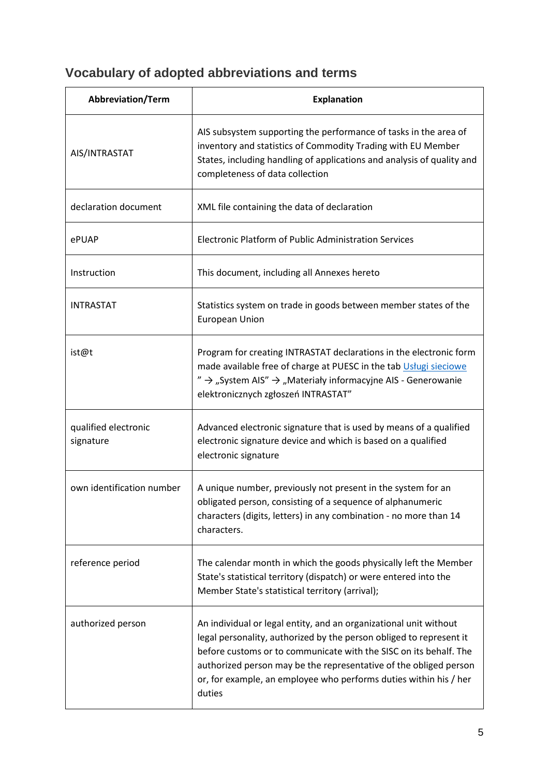### <span id="page-4-0"></span>**Vocabulary of adopted abbreviations and terms**

| Abbreviation/Term                 | <b>Explanation</b>                                                                                                                                                                                                                                                                                                                                                |  |  |
|-----------------------------------|-------------------------------------------------------------------------------------------------------------------------------------------------------------------------------------------------------------------------------------------------------------------------------------------------------------------------------------------------------------------|--|--|
| AIS/INTRASTAT                     | AIS subsystem supporting the performance of tasks in the area of<br>inventory and statistics of Commodity Trading with EU Member<br>States, including handling of applications and analysis of quality and<br>completeness of data collection                                                                                                                     |  |  |
| declaration document              | XML file containing the data of declaration                                                                                                                                                                                                                                                                                                                       |  |  |
| ePUAP                             | Electronic Platform of Public Administration Services                                                                                                                                                                                                                                                                                                             |  |  |
| Instruction                       | This document, including all Annexes hereto                                                                                                                                                                                                                                                                                                                       |  |  |
| <b>INTRASTAT</b>                  | Statistics system on trade in goods between member states of the<br><b>European Union</b>                                                                                                                                                                                                                                                                         |  |  |
| ist@t                             | Program for creating INTRASTAT declarations in the electronic form<br>made available free of charge at PUESC in the tab Usługi sieciowe<br>$'' \rightarrow$ "System AIS" $\rightarrow$ "Materiały informacyjne AIS - Generowanie<br>elektronicznych zgłoszeń INTRASTAT"                                                                                           |  |  |
| qualified electronic<br>signature | Advanced electronic signature that is used by means of a qualified<br>electronic signature device and which is based on a qualified<br>electronic signature                                                                                                                                                                                                       |  |  |
| own identification number         | A unique number, previously not present in the system for an<br>obligated person, consisting of a sequence of alphanumeric<br>characters (digits, letters) in any combination - no more than 14<br>characters.                                                                                                                                                    |  |  |
| reference period                  | The calendar month in which the goods physically left the Member<br>State's statistical territory (dispatch) or were entered into the<br>Member State's statistical territory (arrival);                                                                                                                                                                          |  |  |
| authorized person                 | An individual or legal entity, and an organizational unit without<br>legal personality, authorized by the person obliged to represent it<br>before customs or to communicate with the SISC on its behalf. The<br>authorized person may be the representative of the obliged person<br>or, for example, an employee who performs duties within his / her<br>duties |  |  |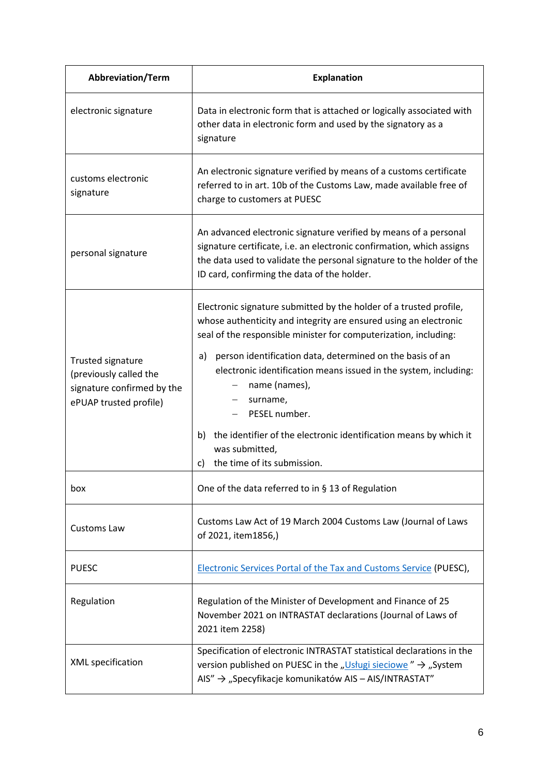| <b>Abbreviation/Term</b>                                                                                   | <b>Explanation</b>                                                                                                                                                                                                                                                                                                                                                                                                                                                                                                                |  |  |  |
|------------------------------------------------------------------------------------------------------------|-----------------------------------------------------------------------------------------------------------------------------------------------------------------------------------------------------------------------------------------------------------------------------------------------------------------------------------------------------------------------------------------------------------------------------------------------------------------------------------------------------------------------------------|--|--|--|
| electronic signature                                                                                       | Data in electronic form that is attached or logically associated with<br>other data in electronic form and used by the signatory as a<br>signature                                                                                                                                                                                                                                                                                                                                                                                |  |  |  |
| customs electronic<br>signature                                                                            | An electronic signature verified by means of a customs certificate<br>referred to in art. 10b of the Customs Law, made available free of<br>charge to customers at PUESC                                                                                                                                                                                                                                                                                                                                                          |  |  |  |
| personal signature                                                                                         | An advanced electronic signature verified by means of a personal<br>signature certificate, i.e. an electronic confirmation, which assigns<br>the data used to validate the personal signature to the holder of the<br>ID card, confirming the data of the holder.                                                                                                                                                                                                                                                                 |  |  |  |
| <b>Trusted signature</b><br>(previously called the<br>signature confirmed by the<br>ePUAP trusted profile) | Electronic signature submitted by the holder of a trusted profile,<br>whose authenticity and integrity are ensured using an electronic<br>seal of the responsible minister for computerization, including:<br>person identification data, determined on the basis of an<br>a)<br>electronic identification means issued in the system, including:<br>name (names),<br>surname,<br>PESEL number.<br>the identifier of the electronic identification means by which it<br>b)<br>was submitted,<br>the time of its submission.<br>c) |  |  |  |
| box                                                                                                        | One of the data referred to in $\S$ 13 of Regulation                                                                                                                                                                                                                                                                                                                                                                                                                                                                              |  |  |  |
| <b>Customs Law</b>                                                                                         | Customs Law Act of 19 March 2004 Customs Law (Journal of Laws<br>of 2021, item1856,)                                                                                                                                                                                                                                                                                                                                                                                                                                              |  |  |  |
| <b>PUESC</b>                                                                                               | <b>Electronic Services Portal of the Tax and Customs Service (PUESC),</b>                                                                                                                                                                                                                                                                                                                                                                                                                                                         |  |  |  |
| Regulation                                                                                                 | Regulation of the Minister of Development and Finance of 25<br>November 2021 on INTRASTAT declarations (Journal of Laws of<br>2021 item 2258)                                                                                                                                                                                                                                                                                                                                                                                     |  |  |  |
| XML specification                                                                                          | Specification of electronic INTRASTAT statistical declarations in the<br>version published on PUESC in the "Usługi sieciowe" $\rightarrow$ "System<br>$AIS'' \rightarrow$ "Specyfikacje komunikatów AIS – AIS/INTRASTAT"                                                                                                                                                                                                                                                                                                          |  |  |  |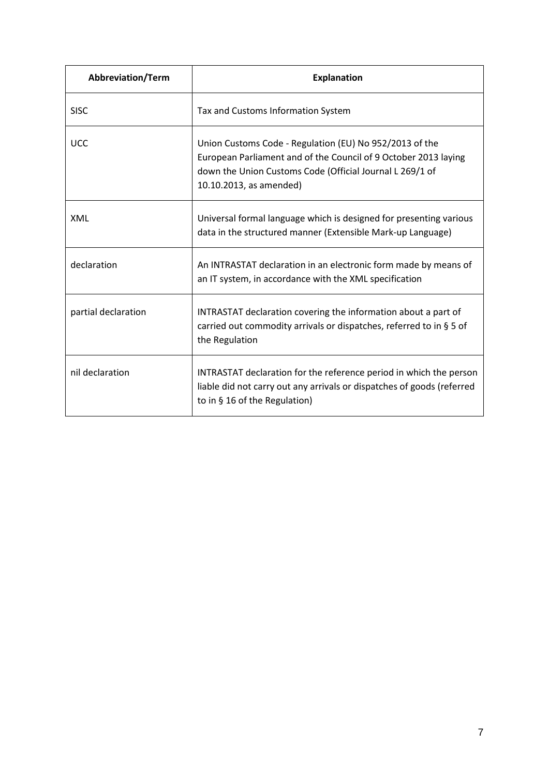| <b>Abbreviation/Term</b> | <b>Explanation</b>                                                                                                                                                                                                |  |  |  |
|--------------------------|-------------------------------------------------------------------------------------------------------------------------------------------------------------------------------------------------------------------|--|--|--|
| <b>SISC</b>              | Tax and Customs Information System                                                                                                                                                                                |  |  |  |
| <b>UCC</b>               | Union Customs Code - Regulation (EU) No 952/2013 of the<br>European Parliament and of the Council of 9 October 2013 laying<br>down the Union Customs Code (Official Journal L 269/1 of<br>10.10.2013, as amended) |  |  |  |
| <b>XML</b>               | Universal formal language which is designed for presenting various<br>data in the structured manner (Extensible Mark-up Language)                                                                                 |  |  |  |
| declaration              | An INTRASTAT declaration in an electronic form made by means of<br>an IT system, in accordance with the XML specification                                                                                         |  |  |  |
| partial declaration      | INTRASTAT declaration covering the information about a part of<br>carried out commodity arrivals or dispatches, referred to in § 5 of<br>the Regulation                                                           |  |  |  |
| nil declaration          | INTRASTAT declaration for the reference period in which the person<br>liable did not carry out any arrivals or dispatches of goods (referred<br>to in § 16 of the Regulation)                                     |  |  |  |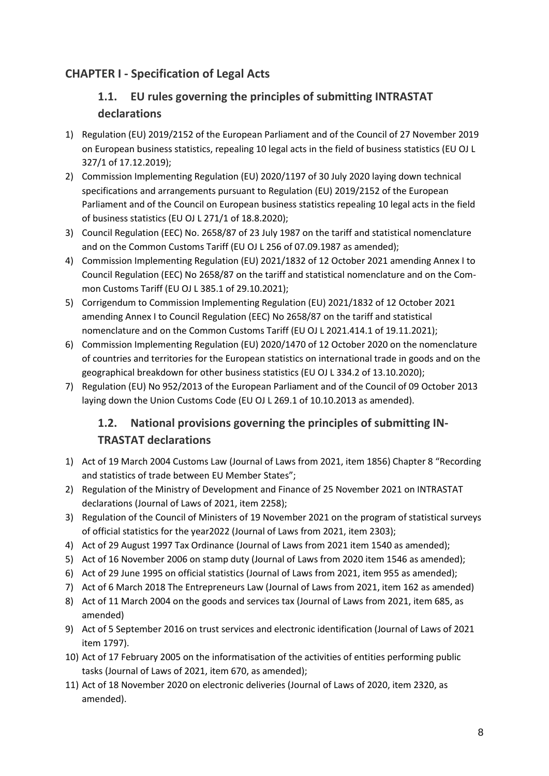### <span id="page-7-1"></span><span id="page-7-0"></span>**CHAPTER I - Specification of Legal Acts**

### **1.1. EU rules governing the principles of submitting INTRASTAT declarations**

- 1) Regulation (EU) 2019/2152 of the European Parliament and of the Council of 27 November 2019 on European business statistics, repealing 10 legal acts in the field of business statistics (EU OJ L 327/1 of 17.12.2019);
- 2) Commission Implementing Regulation (EU) 2020/1197 of 30 July 2020 laying down technical specifications and arrangements pursuant to Regulation (EU) 2019/2152 of the European Parliament and of the Council on European business statistics repealing 10 legal acts in the field of business statistics (EU OJ L 271/1 of 18.8.2020);
- 3) Council Regulation (EEC) No. 2658/87 of 23 July 1987 on the tariff and statistical nomenclature and on the Common Customs Tariff (EU OJ L 256 of 07.09.1987 as amended);
- 4) Commission Implementing Regulation (EU) 2021/1832 of 12 October 2021 amending Annex I to Council Regulation (EEC) No 2658/87 on the tariff and statistical nomenclature and on the Common Customs Tariff (EU OJ L 385.1 of 29.10.2021);
- 5) Corrigendum to Commission Implementing Regulation (EU) 2021/1832 of 12 October 2021 amending Annex I to Council Regulation (EEC) No 2658/87 on the tariff and statistical nomenclature and on the Common Customs Tariff (EU OJ L 2021.414.1 of 19.11.2021);
- 6) Commission Implementing Regulation (EU) 2020/1470 of 12 October 2020 on the nomenclature of countries and territories for the European statistics on international trade in goods and on the geographical breakdown for other business statistics (EU OJ L 334.2 of 13.10.2020);
- <span id="page-7-2"></span>7) Regulation (EU) No 952/2013 of the European Parliament and of the Council of 09 October 2013 laying down the Union Customs Code (EU OJ L 269.1 of 10.10.2013 as amended).

### **1.2. National provisions governing the principles of submitting IN-TRASTAT declarations**

- 1) Act of 19 March 2004 Customs Law (Journal of Laws from 2021, item 1856) Chapter 8 "Recording and statistics of trade between EU Member States";
- 2) Regulation of the Ministry of Development and Finance of 25 November 2021 on INTRASTAT declarations (Journal of Laws of 2021, item 2258);
- 3) Regulation of the Council of Ministers of 19 November 2021 on the program of statistical surveys of official statistics for the year2022 (Journal of Laws from 2021, item 2303);
- 4) Act of 29 August 1997 Tax Ordinance (Journal of Laws from 2021 item 1540 as amended);
- 5) Act of 16 November 2006 on stamp duty (Journal of Laws from 2020 item 1546 as amended);
- 6) Act of 29 June 1995 on official statistics (Journal of Laws from 2021, item 955 as amended);
- 7) Act of 6 March 2018 The Entrepreneurs Law (Journal of Laws from 2021, item 162 as amended)
- 8) Act of 11 March 2004 on the goods and services tax (Journal of Laws from 2021, item 685, as amended)
- 9) Act of 5 September 2016 on trust services and electronic identification (Journal of Laws of 2021 item 1797).
- 10) Act of 17 February 2005 on the informatisation of the activities of entities performing public tasks (Journal of Laws of 2021, item 670, as amended);
- 11) Act of 18 November 2020 on electronic deliveries (Journal of Laws of 2020, item 2320, as amended).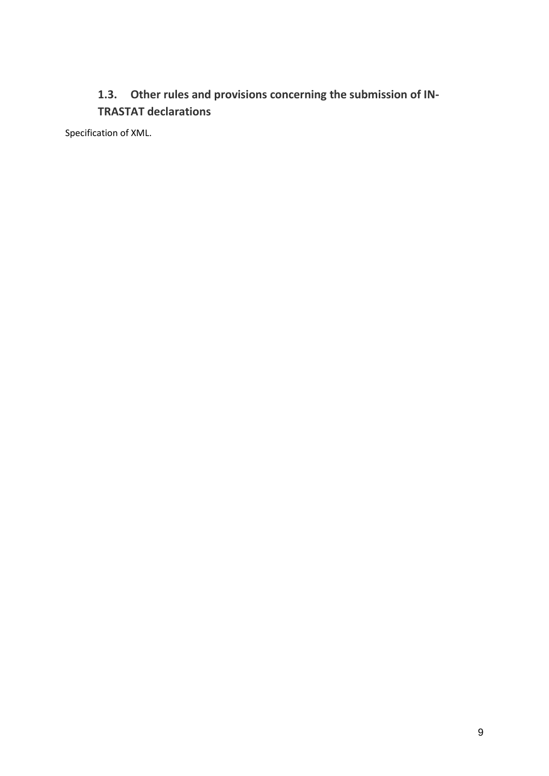### <span id="page-8-0"></span>**1.3. Other rules and provisions concerning the submission of IN-TRASTAT declarations**

Specification of XML.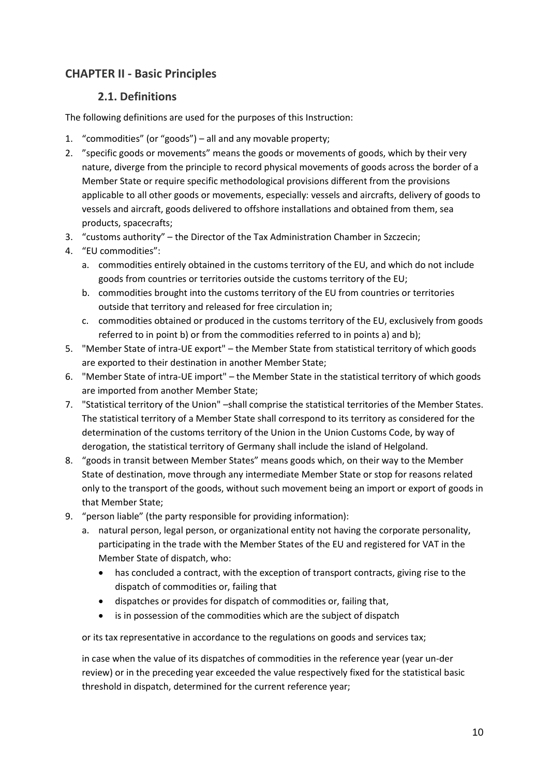### <span id="page-9-0"></span>**CHAPTER II - Basic Principles**

#### **2.1. Definitions**

<span id="page-9-1"></span>The following definitions are used for the purposes of this Instruction:

- 1. "commodities" (or "goods") all and any movable property;
- 2. "specific goods or movements" means the goods or movements of goods, which by their very nature, diverge from the principle to record physical movements of goods across the border of a Member State or require specific methodological provisions different from the provisions applicable to all other goods or movements, especially: vessels and aircrafts, delivery of goods to vessels and aircraft, goods delivered to offshore installations and obtained from them, sea products, spacecrafts;
- 3. "customs authority" the Director of the Tax Administration Chamber in Szczecin;
- 4. "EU commodities":
	- a. commodities entirely obtained in the customs territory of the EU, and which do not include goods from countries or territories outside the customs territory of the EU;
	- b. commodities brought into the customs territory of the EU from countries or territories outside that territory and released for free circulation in;
	- c. commodities obtained or produced in the customs territory of the EU, exclusively from goods referred to in point b) or from the commodities referred to in points a) and b);
- 5. "Member State of intra-UE export" the Member State from statistical territory of which goods are exported to their destination in another Member State;
- 6. "Member State of intra-UE import" the Member State in the statistical territory of which goods are imported from another Member State;
- 7. "Statistical territory of the Union" –shall comprise the statistical territories of the Member States. The statistical territory of a Member State shall correspond to its territory as considered for the determination of the customs territory of the Union in the Union Customs Code, by way of derogation, the statistical territory of Germany shall include the island of Helgoland.
- 8. "goods in transit between Member States" means goods which, on their way to the Member State of destination, move through any intermediate Member State or stop for reasons related only to the transport of the goods, without such movement being an import or export of goods in that Member State;
- 9. "person liable" (the party responsible for providing information):
	- a. natural person, legal person, or organizational entity not having the corporate personality, participating in the trade with the Member States of the EU and registered for VAT in the Member State of dispatch, who:
		- has concluded a contract, with the exception of transport contracts, giving rise to the dispatch of commodities or, failing that
		- dispatches or provides for dispatch of commodities or, failing that,
		- is in possession of the commodities which are the subject of dispatch

or its tax representative in accordance to the regulations on goods and services tax;

in case when the value of its dispatches of commodities in the reference year (year un-der review) or in the preceding year exceeded the value respectively fixed for the statistical basic threshold in dispatch, determined for the current reference year;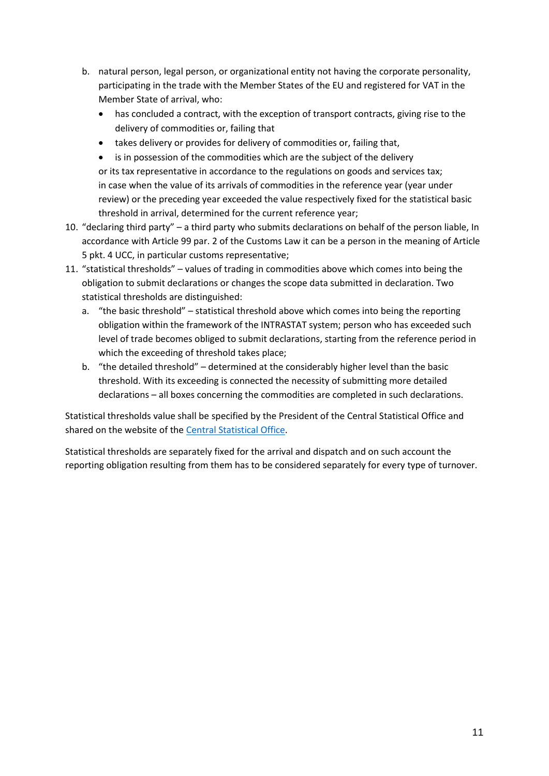- b. natural person, legal person, or organizational entity not having the corporate personality, participating in the trade with the Member States of the EU and registered for VAT in the Member State of arrival, who:
	- has concluded a contract, with the exception of transport contracts, giving rise to the delivery of commodities or, failing that
	- takes delivery or provides for delivery of commodities or, failing that,
	- is in possession of the commodities which are the subject of the delivery or its tax representative in accordance to the regulations on goods and services tax; in case when the value of its arrivals of commodities in the reference year (year under review) or the preceding year exceeded the value respectively fixed for the statistical basic threshold in arrival, determined for the current reference year;
- 10. "declaring third party" a third party who submits declarations on behalf of the person liable, In accordance with Article 99 par. 2 of the Customs Law it can be a person in the meaning of Article 5 pkt. 4 UCC, in particular customs representative;
- 11. "statistical thresholds" values of trading in commodities above which comes into being the obligation to submit declarations or changes the scope data submitted in declaration. Two statistical thresholds are distinguished:
	- a. "the basic threshold" statistical threshold above which comes into being the reporting obligation within the framework of the INTRASTAT system; person who has exceeded such level of trade becomes obliged to submit declarations, starting from the reference period in which the exceeding of threshold takes place;
	- b. "the detailed threshold" determined at the considerably higher level than the basic threshold. With its exceeding is connected the necessity of submitting more detailed declarations – all boxes concerning the commodities are completed in such declarations.

Statistical thresholds value shall be specified by the President of the Central Statistical Office and shared on the website of the [Central Statistical Office.](https://stat.gov.pl/en/intrastat/basic-information-on-intrastat-system/system-of-statistical-thresholds/)

Statistical thresholds are separately fixed for the arrival and dispatch and on such account the reporting obligation resulting from them has to be considered separately for every type of turnover.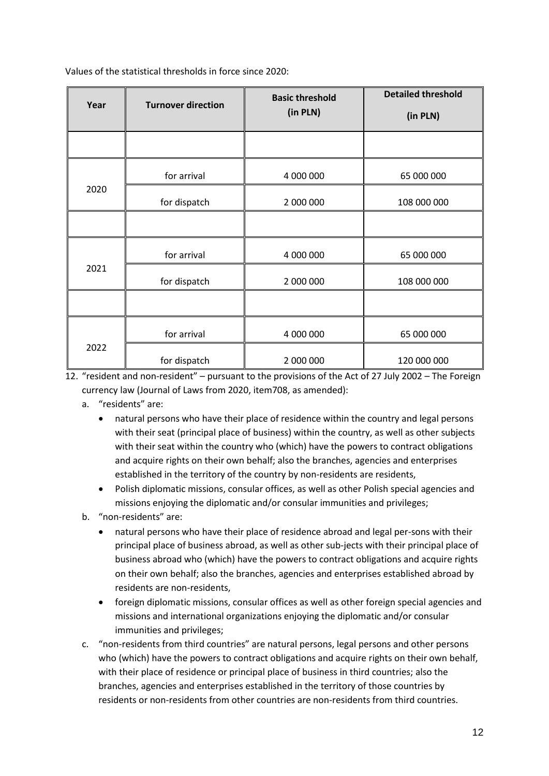Values of the statistical thresholds in force since 2020:

| Year | <b>Turnover direction</b> | <b>Basic threshold</b> | <b>Detailed threshold</b> |
|------|---------------------------|------------------------|---------------------------|
|      |                           | (in PLN)               | (in PLN)                  |
|      |                           |                        |                           |
|      | for arrival               | 4 000 000              | 65 000 000                |
| 2020 | for dispatch              | 2 000 000              | 108 000 000               |
|      |                           |                        |                           |
|      | for arrival               | 4 000 000              |                           |
| 2021 | for dispatch              | 2 000 000              | 108 000 000               |
|      |                           |                        |                           |
|      | for arrival               | 4 000 000              | 65 000 000                |
| 2022 | for dispatch              | 2 000 000              | 120 000 000               |

12. "resident and non-resident" – pursuant to the provisions of the Act of 27 July 2002 – The Foreign currency law (Journal of Laws from 2020, item708, as amended):

- a. "residents" are:
	- natural persons who have their place of residence within the country and legal persons with their seat (principal place of business) within the country, as well as other subjects with their seat within the country who (which) have the powers to contract obligations and acquire rights on their own behalf; also the branches, agencies and enterprises established in the territory of the country by non-residents are residents,
	- Polish diplomatic missions, consular offices, as well as other Polish special agencies and missions enjoying the diplomatic and/or consular immunities and privileges;
- b. "non-residents" are:
	- natural persons who have their place of residence abroad and legal per-sons with their principal place of business abroad, as well as other sub-jects with their principal place of business abroad who (which) have the powers to contract obligations and acquire rights on their own behalf; also the branches, agencies and enterprises established abroad by residents are non-residents,
	- foreign diplomatic missions, consular offices as well as other foreign special agencies and missions and international organizations enjoying the diplomatic and/or consular immunities and privileges;
- c. "non-residents from third countries" are natural persons, legal persons and other persons who (which) have the powers to contract obligations and acquire rights on their own behalf, with their place of residence or principal place of business in third countries; also the branches, agencies and enterprises established in the territory of those countries by residents or non-residents from other countries are non-residents from third countries.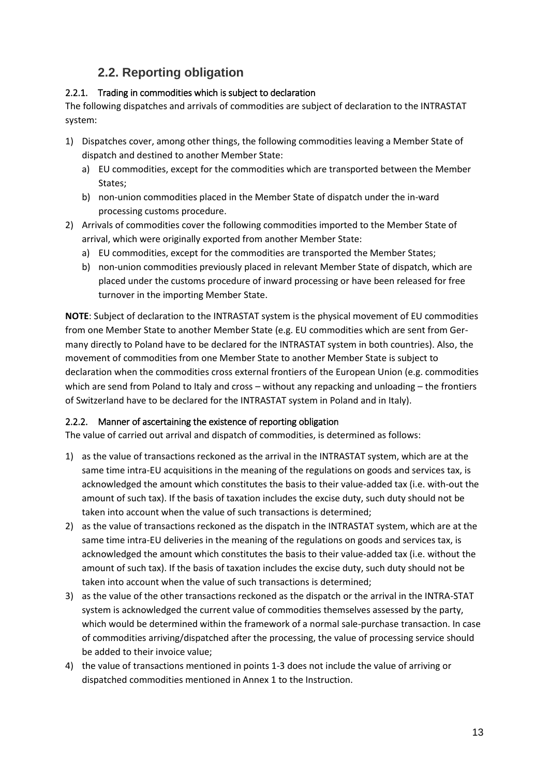### **2.2. Reporting obligation**

#### <span id="page-12-1"></span><span id="page-12-0"></span>2.2.1. Trading in commodities which is subject to declaration

The following dispatches and arrivals of commodities are subject of declaration to the INTRASTAT system:

- 1) Dispatches cover, among other things, the following commodities leaving a Member State of dispatch and destined to another Member State:
	- a) EU commodities, except for the commodities which are transported between the Member States;
	- b) non-union commodities placed in the Member State of dispatch under the in-ward processing customs procedure.
- 2) Arrivals of commodities cover the following commodities imported to the Member State of arrival, which were originally exported from another Member State:
	- a) EU commodities, except for the commodities are transported the Member States;
	- b) non-union commodities previously placed in relevant Member State of dispatch, which are placed under the customs procedure of inward processing or have been released for free turnover in the importing Member State.

**NOTE**: Subject of declaration to the INTRASTAT system is the physical movement of EU commodities from one Member State to another Member State (e.g. EU commodities which are sent from Germany directly to Poland have to be declared for the INTRASTAT system in both countries). Also, the movement of commodities from one Member State to another Member State is subject to declaration when the commodities cross external frontiers of the European Union (e.g. commodities which are send from Poland to Italy and cross – without any repacking and unloading – the frontiers of Switzerland have to be declared for the INTRASTAT system in Poland and in Italy).

#### <span id="page-12-2"></span>2.2.2. Manner of ascertaining the existence of reporting obligation

The value of carried out arrival and dispatch of commodities, is determined as follows:

- 1) as the value of transactions reckoned as the arrival in the INTRASTAT system, which are at the same time intra-EU acquisitions in the meaning of the regulations on goods and services tax, is acknowledged the amount which constitutes the basis to their value-added tax (i.e. with-out the amount of such tax). If the basis of taxation includes the excise duty, such duty should not be taken into account when the value of such transactions is determined;
- 2) as the value of transactions reckoned as the dispatch in the INTRASTAT system, which are at the same time intra-EU deliveries in the meaning of the regulations on goods and services tax, is acknowledged the amount which constitutes the basis to their value-added tax (i.e. without the amount of such tax). If the basis of taxation includes the excise duty, such duty should not be taken into account when the value of such transactions is determined;
- 3) as the value of the other transactions reckoned as the dispatch or the arrival in the INTRA-STAT system is acknowledged the current value of commodities themselves assessed by the party, which would be determined within the framework of a normal sale-purchase transaction. In case of commodities arriving/dispatched after the processing, the value of processing service should be added to their invoice value;
- 4) the value of transactions mentioned in points 1-3 does not include the value of arriving or dispatched commodities mentioned in Annex 1 to the Instruction.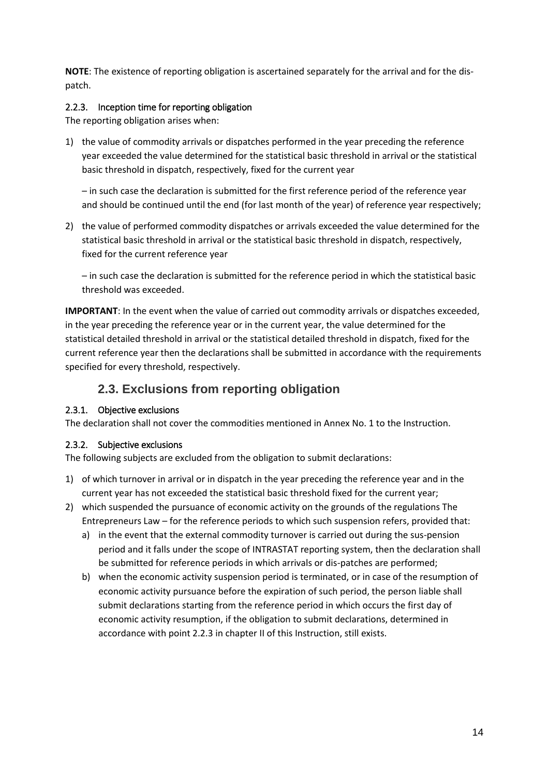**NOTE**: The existence of reporting obligation is ascertained separately for the arrival and for the dispatch.

#### <span id="page-13-0"></span>2.2.3. Inception time for reporting obligation

The reporting obligation arises when:

1) the value of commodity arrivals or dispatches performed in the year preceding the reference year exceeded the value determined for the statistical basic threshold in arrival or the statistical basic threshold in dispatch, respectively, fixed for the current year

– in such case the declaration is submitted for the first reference period of the reference year and should be continued until the end (for last month of the year) of reference year respectively;

2) the value of performed commodity dispatches or arrivals exceeded the value determined for the statistical basic threshold in arrival or the statistical basic threshold in dispatch, respectively, fixed for the current reference year

– in such case the declaration is submitted for the reference period in which the statistical basic threshold was exceeded.

**IMPORTANT**: In the event when the value of carried out commodity arrivals or dispatches exceeded, in the year preceding the reference year or in the current year, the value determined for the statistical detailed threshold in arrival or the statistical detailed threshold in dispatch, fixed for the current reference year then the declarations shall be submitted in accordance with the requirements specified for every threshold, respectively.

### **2.3. Exclusions from reporting obligation**

#### <span id="page-13-2"></span><span id="page-13-1"></span>2.3.1. Objective exclusions

The declaration shall not cover the commodities mentioned in Annex No. 1 to the Instruction.

#### <span id="page-13-3"></span>2.3.2. Subjective exclusions

The following subjects are excluded from the obligation to submit declarations:

- 1) of which turnover in arrival or in dispatch in the year preceding the reference year and in the current year has not exceeded the statistical basic threshold fixed for the current year;
- 2) which suspended the pursuance of economic activity on the grounds of the regulations The Entrepreneurs Law – for the reference periods to which such suspension refers, provided that:
	- a) in the event that the external commodity turnover is carried out during the sus-pension period and it falls under the scope of INTRASTAT reporting system, then the declaration shall be submitted for reference periods in which arrivals or dis-patches are performed;
	- b) when the economic activity suspension period is terminated, or in case of the resumption of economic activity pursuance before the expiration of such period, the person liable shall submit declarations starting from the reference period in which occurs the first day of economic activity resumption, if the obligation to submit declarations, determined in accordance with point 2.2.3 in chapter II of this Instruction, still exists.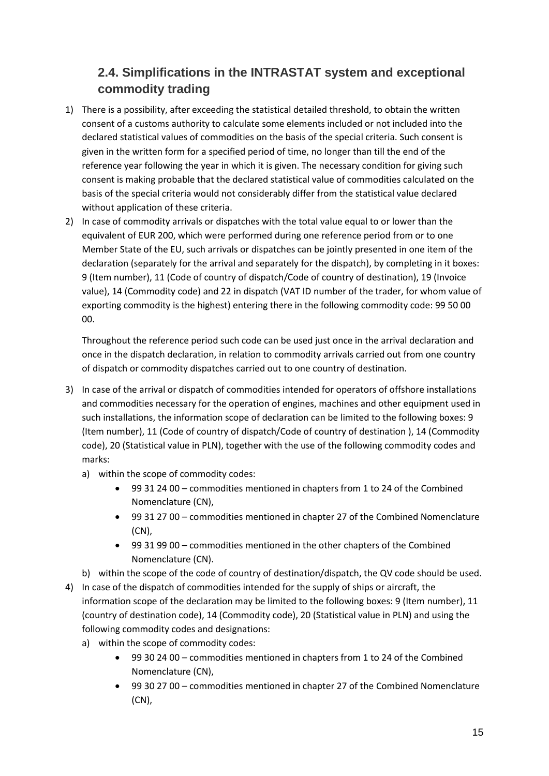### <span id="page-14-0"></span>**2.4. Simplifications in the INTRASTAT system and exceptional commodity trading**

- 1) There is a possibility, after exceeding the statistical detailed threshold, to obtain the written consent of a customs authority to calculate some elements included or not included into the declared statistical values of commodities on the basis of the special criteria. Such consent is given in the written form for a specified period of time, no longer than till the end of the reference year following the year in which it is given. The necessary condition for giving such consent is making probable that the declared statistical value of commodities calculated on the basis of the special criteria would not considerably differ from the statistical value declared without application of these criteria.
- 2) In case of commodity arrivals or dispatches with the total value equal to or lower than the equivalent of EUR 200, which were performed during one reference period from or to one Member State of the EU, such arrivals or dispatches can be jointly presented in one item of the declaration (separately for the arrival and separately for the dispatch), by completing in it boxes: 9 (Item number), 11 (Code of country of dispatch/Code of country of destination), 19 (Invoice value), 14 (Commodity code) and 22 in dispatch (VAT ID number of the trader, for whom value of exporting commodity is the highest) entering there in the following commodity code: 99 50 00 00.

Throughout the reference period such code can be used just once in the arrival declaration and once in the dispatch declaration, in relation to commodity arrivals carried out from one country of dispatch or commodity dispatches carried out to one country of destination.

- 3) In case of the arrival or dispatch of commodities intended for operators of offshore installations and commodities necessary for the operation of engines, machines and other equipment used in such installations, the information scope of declaration can be limited to the following boxes: 9 (Item number), 11 (Code of country of dispatch/Code of country of destination ), 14 (Commodity code), 20 (Statistical value in PLN), together with the use of the following commodity codes and marks:
	- a) within the scope of commodity codes:
		- 99 31 24 00 commodities mentioned in chapters from 1 to 24 of the Combined Nomenclature (CN),
		- 99 31 27 00 commodities mentioned in chapter 27 of the Combined Nomenclature (CN),
		- 99 31 99 00 commodities mentioned in the other chapters of the Combined Nomenclature (CN).
	- b) within the scope of the code of country of destination/dispatch, the QV code should be used.
- 4) In case of the dispatch of commodities intended for the supply of ships or aircraft, the information scope of the declaration may be limited to the following boxes: 9 (Item number), 11 (country of destination code), 14 (Commodity code), 20 (Statistical value in PLN) and using the following commodity codes and designations:
	- a) within the scope of commodity codes:
		- 99 30 24 00 commodities mentioned in chapters from 1 to 24 of the Combined Nomenclature (CN),
		- 99 30 27 00 commodities mentioned in chapter 27 of the Combined Nomenclature (CN),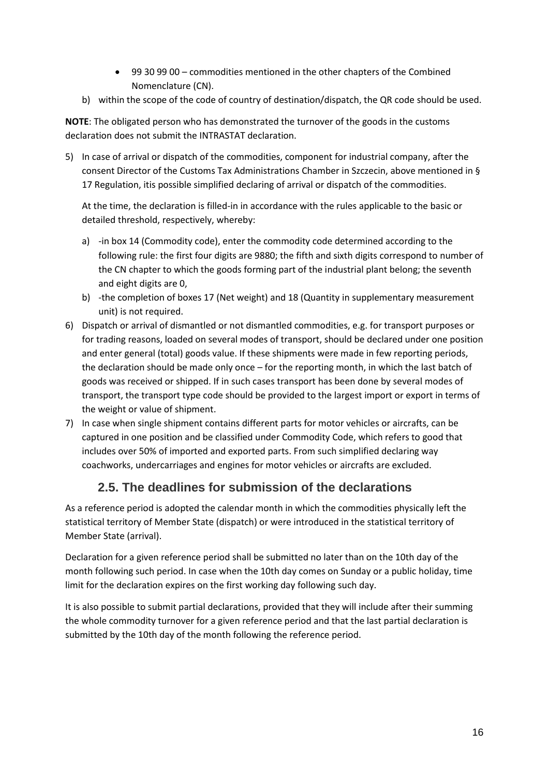- 99 30 99 00 commodities mentioned in the other chapters of the Combined Nomenclature (CN).
- b) within the scope of the code of country of destination/dispatch, the QR code should be used.

**NOTE**: The obligated person who has demonstrated the turnover of the goods in the customs declaration does not submit the INTRASTAT declaration.

5) In case of arrival or dispatch of the commodities, component for industrial company, after the consent Director of the Customs Tax Administrations Chamber in Szczecin, above mentioned in § 17 Regulation, itis possible simplified declaring of arrival or dispatch of the commodities.

At the time, the declaration is filled-in in accordance with the rules applicable to the basic or detailed threshold, respectively, whereby:

- a) -in box 14 (Commodity code), enter the commodity code determined according to the following rule: the first four digits are 9880; the fifth and sixth digits correspond to number of the CN chapter to which the goods forming part of the industrial plant belong; the seventh and eight digits are 0,
- b) -the completion of boxes 17 (Net weight) and 18 (Quantity in supplementary measurement unit) is not required.
- 6) Dispatch or arrival of dismantled or not dismantled commodities, e.g. for transport purposes or for trading reasons, loaded on several modes of transport, should be declared under one position and enter general (total) goods value. If these shipments were made in few reporting periods, the declaration should be made only once – for the reporting month, in which the last batch of goods was received or shipped. If in such cases transport has been done by several modes of transport, the transport type code should be provided to the largest import or export in terms of the weight or value of shipment.
- 7) In case when single shipment contains different parts for motor vehicles or aircrafts, can be captured in one position and be classified under Commodity Code, which refers to good that includes over 50% of imported and exported parts. From such simplified declaring way coachworks, undercarriages and engines for motor vehicles or aircrafts are excluded.

### **2.5. The deadlines for submission of the declarations**

<span id="page-15-0"></span>As a reference period is adopted the calendar month in which the commodities physically left the statistical territory of Member State (dispatch) or were introduced in the statistical territory of Member State (arrival).

Declaration for a given reference period shall be submitted no later than on the 10th day of the month following such period. In case when the 10th day comes on Sunday or a public holiday, time limit for the declaration expires on the first working day following such day.

It is also possible to submit partial declarations, provided that they will include after their summing the whole commodity turnover for a given reference period and that the last partial declaration is submitted by the 10th day of the month following the reference period.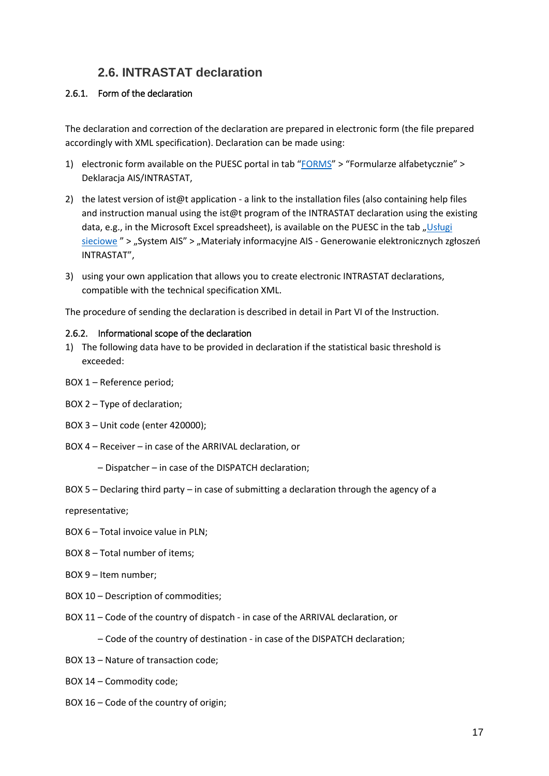### **2.6. INTRASTAT declaration**

#### <span id="page-16-1"></span><span id="page-16-0"></span>2.6.1. Form of the declaration

The declaration and correction of the declaration are prepared in electronic form (the file prepared accordingly with XML specification). Declaration can be made using:

- 1) electronic form available on the PUESC portal in tab "[FORMS](https://puesc.gov.pl/uslugi/formularze)" > "Formularze alfabetycznie" > Deklaracja AIS/INTRASTAT,
- 2) the latest version of ist@t application a link to the installation files (also containing help files and instruction manual using the ist@t program of the INTRASTAT declaration using the existing data, e.g., in the Microsoft Excel spreadsheet), is available on the PUESC in the tab "Usługi [sieciowe](https://puesc.gov.pl/uslugi/uslugi-sieciowe-informacje-i-specyfikacje) " > "System AIS" > "Materiały informacyjne AIS - Generowanie elektronicznych zgłoszeń INTRASTAT",
- 3) using your own application that allows you to create electronic INTRASTAT declarations, compatible with the technical specification XML.

The procedure of sending the declaration is described in detail in Part VI of the Instruction.

#### <span id="page-16-2"></span>2.6.2. Informational scope of the declaration

- 1) The following data have to be provided in declaration if the statistical basic threshold is exceeded:
- BOX 1 Reference period;
- BOX 2 Type of declaration;
- BOX 3 Unit code (enter 420000);
- BOX 4 Receiver in case of the ARRIVAL declaration, or
	- Dispatcher in case of the DISPATCH declaration;
- BOX 5 Declaring third party in case of submitting a declaration through the agency of a

representative;

- BOX 6 Total invoice value in PLN;
- BOX 8 Total number of items;
- BOX 9 Item number;
- BOX 10 Description of commodities;
- BOX 11 Code of the country of dispatch in case of the ARRIVAL declaration, or
	- Code of the country of destination in case of the DISPATCH declaration;
- BOX 13 Nature of transaction code;
- BOX 14 Commodity code;
- BOX 16 Code of the country of origin;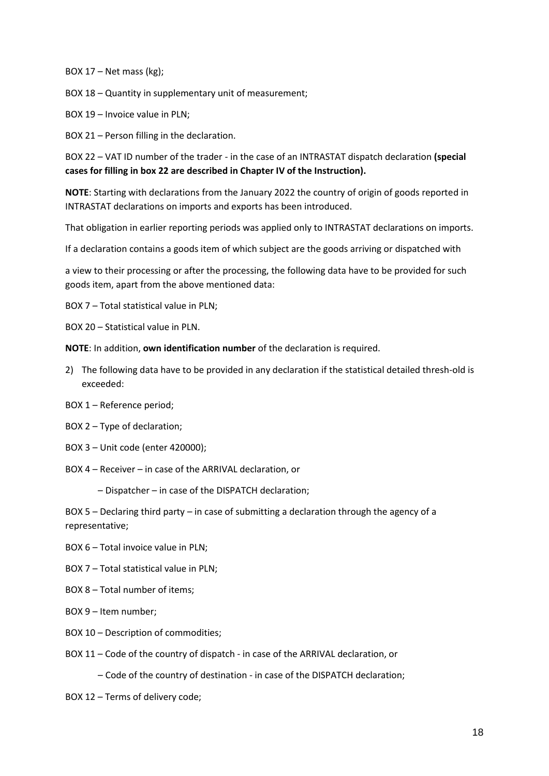BOX  $17$  – Net mass (kg);

BOX 18 – Quantity in supplementary unit of measurement;

BOX 19 – Invoice value in PLN;

BOX 21 – Person filling in the declaration.

BOX 22 – VAT ID number of the trader - in the case of an INTRASTAT dispatch declaration **(special cases for filling in box 22 are described in Chapter IV of the Instruction).**

**NOTE**: Starting with declarations from the January 2022 the country of origin of goods reported in INTRASTAT declarations on imports and exports has been introduced.

That obligation in earlier reporting periods was applied only to INTRASTAT declarations on imports.

If a declaration contains a goods item of which subject are the goods arriving or dispatched with

a view to their processing or after the processing, the following data have to be provided for such goods item, apart from the above mentioned data:

- BOX 7 Total statistical value in PLN;
- BOX 20 Statistical value in PLN.

**NOTE**: In addition, **own identification number** of the declaration is required.

- 2) The following data have to be provided in any declaration if the statistical detailed thresh-old is exceeded:
- BOX 1 Reference period;
- BOX 2 Type of declaration;
- BOX 3 Unit code (enter 420000);

BOX 4 – Receiver – in case of the ARRIVAL declaration, or

– Dispatcher – in case of the DISPATCH declaration;

BOX 5 – Declaring third party – in case of submitting a declaration through the agency of a representative;

- BOX 6 Total invoice value in PLN;
- BOX 7 Total statistical value in PLN;
- BOX 8 Total number of items;
- BOX 9 Item number;
- BOX 10 Description of commodities;
- BOX 11 Code of the country of dispatch in case of the ARRIVAL declaration, or

– Code of the country of destination - in case of the DISPATCH declaration;

BOX 12 – Terms of delivery code;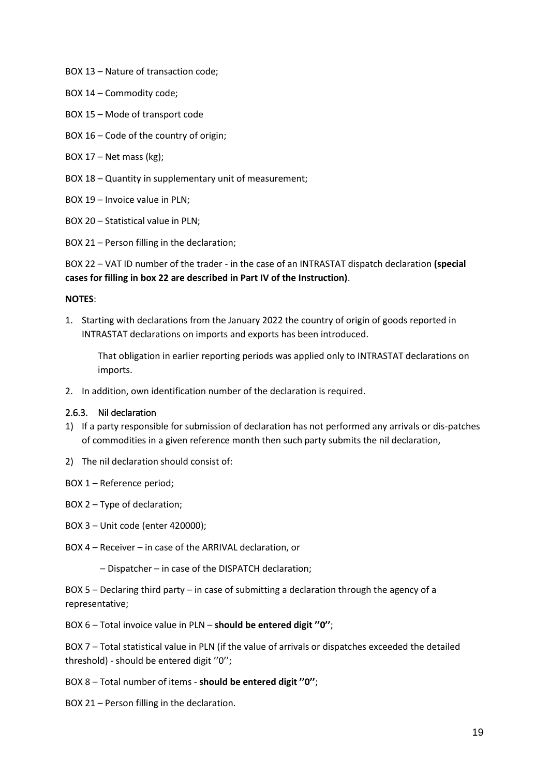- BOX 13 Nature of transaction code;
- BOX 14 Commodity code;
- BOX 15 Mode of transport code
- BOX 16 Code of the country of origin;
- BOX 17 Net mass (kg);
- BOX 18 Quantity in supplementary unit of measurement;
- BOX 19 Invoice value in PLN;
- BOX 20 Statistical value in PLN;
- BOX 21 Person filling in the declaration;

BOX 22 – VAT ID number of the trader - in the case of an INTRASTAT dispatch declaration **(special cases for filling in box 22 are described in Part IV of the Instruction)**.

#### **NOTES**:

1. Starting with declarations from the January 2022 the country of origin of goods reported in INTRASTAT declarations on imports and exports has been introduced.

That obligation in earlier reporting periods was applied only to INTRASTAT declarations on imports.

2. In addition, own identification number of the declaration is required.

#### <span id="page-18-0"></span>2.6.3. Nil declaration

- 1) If a party responsible for submission of declaration has not performed any arrivals or dis-patches of commodities in a given reference month then such party submits the nil declaration,
- 2) The nil declaration should consist of:
- BOX 1 Reference period;
- BOX 2 Type of declaration;
- BOX 3 Unit code (enter 420000);
- BOX 4 Receiver in case of the ARRIVAL declaration, or
	- Dispatcher in case of the DISPATCH declaration;

BOX 5 – Declaring third party – in case of submitting a declaration through the agency of a representative;

BOX 6 – Total invoice value in PLN – **should be entered digit ''0''**;

BOX 7 – Total statistical value in PLN (if the value of arrivals or dispatches exceeded the detailed threshold) - should be entered digit ''0'';

BOX 8 – Total number of items - **should be entered digit ''0''**;

BOX 21 – Person filling in the declaration.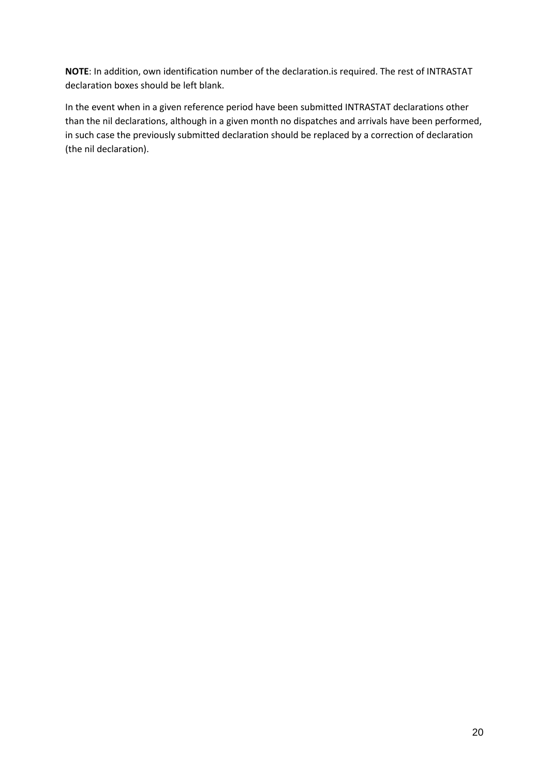**NOTE**: In addition, own identification number of the declaration.is required. The rest of INTRASTAT declaration boxes should be left blank.

In the event when in a given reference period have been submitted INTRASTAT declarations other than the nil declarations, although in a given month no dispatches and arrivals have been performed, in such case the previously submitted declaration should be replaced by a correction of declaration (the nil declaration).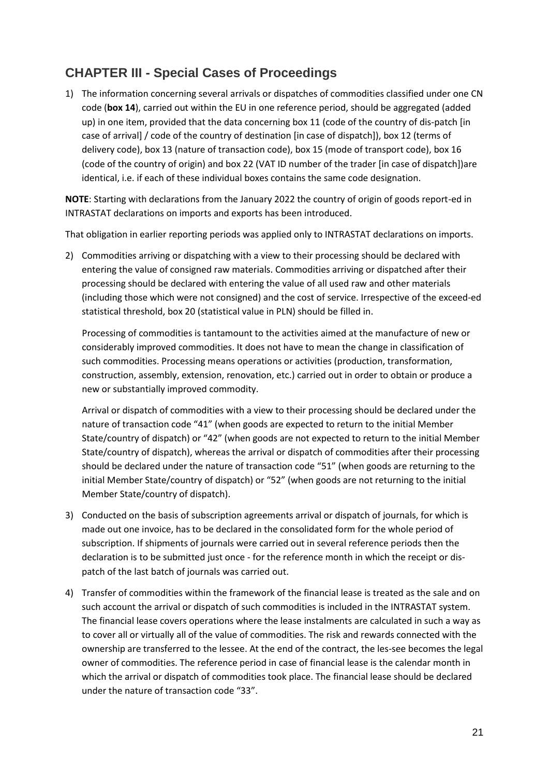### <span id="page-20-0"></span>**CHAPTER III - Special Cases of Proceedings**

1) The information concerning several arrivals or dispatches of commodities classified under one CN code (**box 14**), carried out within the EU in one reference period, should be aggregated (added up) in one item, provided that the data concerning box 11 (code of the country of dis-patch [in case of arrival] / code of the country of destination [in case of dispatch]), box 12 (terms of delivery code), box 13 (nature of transaction code), box 15 (mode of transport code), box 16 (code of the country of origin) and box 22 (VAT ID number of the trader [in case of dispatch])are identical, i.e. if each of these individual boxes contains the same code designation.

**NOTE**: Starting with declarations from the January 2022 the country of origin of goods report-ed in INTRASTAT declarations on imports and exports has been introduced.

That obligation in earlier reporting periods was applied only to INTRASTAT declarations on imports.

2) Commodities arriving or dispatching with a view to their processing should be declared with entering the value of consigned raw materials. Commodities arriving or dispatched after their processing should be declared with entering the value of all used raw and other materials (including those which were not consigned) and the cost of service. Irrespective of the exceed-ed statistical threshold, box 20 (statistical value in PLN) should be filled in.

Processing of commodities is tantamount to the activities aimed at the manufacture of new or considerably improved commodities. It does not have to mean the change in classification of such commodities. Processing means operations or activities (production, transformation, construction, assembly, extension, renovation, etc.) carried out in order to obtain or produce a new or substantially improved commodity.

Arrival or dispatch of commodities with a view to their processing should be declared under the nature of transaction code "41" (when goods are expected to return to the initial Member State/country of dispatch) or "42" (when goods are not expected to return to the initial Member State/country of dispatch), whereas the arrival or dispatch of commodities after their processing should be declared under the nature of transaction code "51" (when goods are returning to the initial Member State/country of dispatch) or "52" (when goods are not returning to the initial Member State/country of dispatch).

- 3) Conducted on the basis of subscription agreements arrival or dispatch of journals, for which is made out one invoice, has to be declared in the consolidated form for the whole period of subscription. If shipments of journals were carried out in several reference periods then the declaration is to be submitted just once - for the reference month in which the receipt or dispatch of the last batch of journals was carried out.
- 4) Transfer of commodities within the framework of the financial lease is treated as the sale and on such account the arrival or dispatch of such commodities is included in the INTRASTAT system. The financial lease covers operations where the lease instalments are calculated in such a way as to cover all or virtually all of the value of commodities. The risk and rewards connected with the ownership are transferred to the lessee. At the end of the contract, the les-see becomes the legal owner of commodities. The reference period in case of financial lease is the calendar month in which the arrival or dispatch of commodities took place. The financial lease should be declared under the nature of transaction code "33".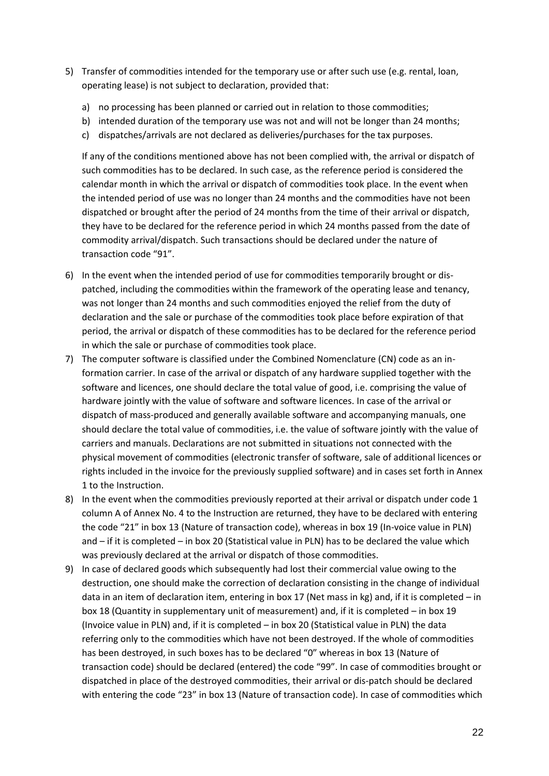- 5) Transfer of commodities intended for the temporary use or after such use (e.g. rental, loan, operating lease) is not subject to declaration, provided that:
	- a) no processing has been planned or carried out in relation to those commodities;
	- b) intended duration of the temporary use was not and will not be longer than 24 months;
	- c) dispatches/arrivals are not declared as deliveries/purchases for the tax purposes.

If any of the conditions mentioned above has not been complied with, the arrival or dispatch of such commodities has to be declared. In such case, as the reference period is considered the calendar month in which the arrival or dispatch of commodities took place. In the event when the intended period of use was no longer than 24 months and the commodities have not been dispatched or brought after the period of 24 months from the time of their arrival or dispatch, they have to be declared for the reference period in which 24 months passed from the date of commodity arrival/dispatch. Such transactions should be declared under the nature of transaction code "91".

- 6) In the event when the intended period of use for commodities temporarily brought or dispatched, including the commodities within the framework of the operating lease and tenancy, was not longer than 24 months and such commodities enjoyed the relief from the duty of declaration and the sale or purchase of the commodities took place before expiration of that period, the arrival or dispatch of these commodities has to be declared for the reference period in which the sale or purchase of commodities took place.
- 7) The computer software is classified under the Combined Nomenclature (CN) code as an information carrier. In case of the arrival or dispatch of any hardware supplied together with the software and licences, one should declare the total value of good, i.e. comprising the value of hardware jointly with the value of software and software licences. In case of the arrival or dispatch of mass-produced and generally available software and accompanying manuals, one should declare the total value of commodities, i.e. the value of software jointly with the value of carriers and manuals. Declarations are not submitted in situations not connected with the physical movement of commodities (electronic transfer of software, sale of additional licences or rights included in the invoice for the previously supplied software) and in cases set forth in Annex 1 to the Instruction.
- 8) In the event when the commodities previously reported at their arrival or dispatch under code 1 column A of Annex No. 4 to the Instruction are returned, they have to be declared with entering the code "21" in box 13 (Nature of transaction code), whereas in box 19 (In-voice value in PLN) and – if it is completed – in box 20 (Statistical value in PLN) has to be declared the value which was previously declared at the arrival or dispatch of those commodities.
- 9) In case of declared goods which subsequently had lost their commercial value owing to the destruction, one should make the correction of declaration consisting in the change of individual data in an item of declaration item, entering in box 17 (Net mass in kg) and, if it is completed – in box 18 (Quantity in supplementary unit of measurement) and, if it is completed – in box 19 (Invoice value in PLN) and, if it is completed – in box 20 (Statistical value in PLN) the data referring only to the commodities which have not been destroyed. If the whole of commodities has been destroyed, in such boxes has to be declared "0" whereas in box 13 (Nature of transaction code) should be declared (entered) the code "99". In case of commodities brought or dispatched in place of the destroyed commodities, their arrival or dis-patch should be declared with entering the code "23" in box 13 (Nature of transaction code). In case of commodities which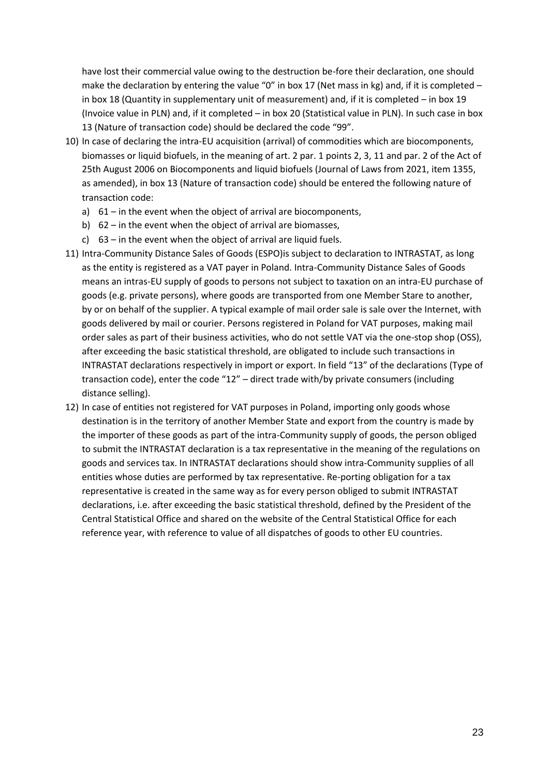have lost their commercial value owing to the destruction be-fore their declaration, one should make the declaration by entering the value "0" in box 17 (Net mass in kg) and, if it is completed in box 18 (Quantity in supplementary unit of measurement) and, if it is completed – in box 19 (Invoice value in PLN) and, if it completed – in box 20 (Statistical value in PLN). In such case in box 13 (Nature of transaction code) should be declared the code "99".

- 10) In case of declaring the intra-EU acquisition (arrival) of commodities which are biocomponents, biomasses or liquid biofuels, in the meaning of art. 2 par. 1 points 2, 3, 11 and par. 2 of the Act of 25th August 2006 on Biocomponents and liquid biofuels (Journal of Laws from 2021, item 1355, as amended), in box 13 (Nature of transaction code) should be entered the following nature of transaction code:
	- a) 61 in the event when the object of arrival are biocomponents,
	- b) 62 in the event when the object of arrival are biomasses,
	- c) 63 in the event when the object of arrival are liquid fuels.
- 11) Intra-Community Distance Sales of Goods (ESPO)is subject to declaration to INTRASTAT, as long as the entity is registered as a VAT payer in Poland. Intra-Community Distance Sales of Goods means an intras-EU supply of goods to persons not subject to taxation on an intra-EU purchase of goods (e.g. private persons), where goods are transported from one Member Stare to another, by or on behalf of the supplier. A typical example of mail order sale is sale over the Internet, with goods delivered by mail or courier. Persons registered in Poland for VAT purposes, making mail order sales as part of their business activities, who do not settle VAT via the one-stop shop (OSS), after exceeding the basic statistical threshold, are obligated to include such transactions in INTRASTAT declarations respectively in import or export. In field "13" of the declarations (Type of transaction code), enter the code "12" – direct trade with/by private consumers (including distance selling).
- 12) In case of entities not registered for VAT purposes in Poland, importing only goods whose destination is in the territory of another Member State and export from the country is made by the importer of these goods as part of the intra-Community supply of goods, the person obliged to submit the INTRASTAT declaration is a tax representative in the meaning of the regulations on goods and services tax. In INTRASTAT declarations should show intra-Community supplies of all entities whose duties are performed by tax representative. Re-porting obligation for a tax representative is created in the same way as for every person obliged to submit INTRASTAT declarations, i.e. after exceeding the basic statistical threshold, defined by the President of the Central Statistical Office and shared on the website of the Central Statistical Office for each reference year, with reference to value of all dispatches of goods to other EU countries.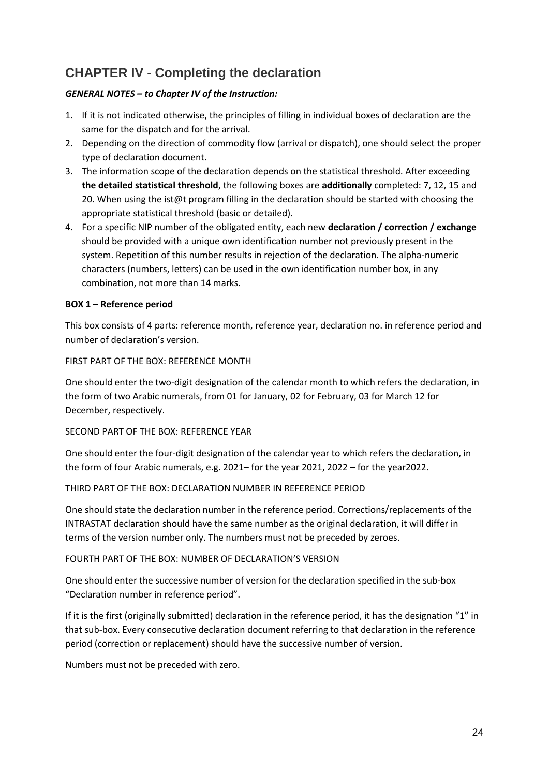### <span id="page-23-0"></span>**CHAPTER IV - Completing the declaration**

#### *GENERAL NOTES – to Chapter IV of the Instruction:*

- 1. If it is not indicated otherwise, the principles of filling in individual boxes of declaration are the same for the dispatch and for the arrival.
- 2. Depending on the direction of commodity flow (arrival or dispatch), one should select the proper type of declaration document.
- 3. The information scope of the declaration depends on the statistical threshold. After exceeding **the detailed statistical threshold**, the following boxes are **additionally** completed: 7, 12, 15 and 20. When using the ist@t program filling in the declaration should be started with choosing the appropriate statistical threshold (basic or detailed).
- 4. For a specific NIP number of the obligated entity, each new **declaration / correction / exchange** should be provided with a unique own identification number not previously present in the system. Repetition of this number results in rejection of the declaration. The alpha-numeric characters (numbers, letters) can be used in the own identification number box, in any combination, not more than 14 marks.

#### **BOX 1 – Reference period**

This box consists of 4 parts: reference month, reference year, declaration no. in reference period and number of declaration's version.

#### FIRST PART OF THE BOX: REFERENCE MONTH

One should enter the two-digit designation of the calendar month to which refers the declaration, in the form of two Arabic numerals, from 01 for January, 02 for February, 03 for March 12 for December, respectively.

#### SECOND PART OF THE BOX: REFERENCE YEAR

One should enter the four-digit designation of the calendar year to which refers the declaration, in the form of four Arabic numerals, e.g. 2021– for the year 2021, 2022 – for the year2022.

#### THIRD PART OF THE BOX: DECLARATION NUMBER IN REFERENCE PERIOD

One should state the declaration number in the reference period. Corrections/replacements of the INTRASTAT declaration should have the same number as the original declaration, it will differ in terms of the version number only. The numbers must not be preceded by zeroes.

#### FOURTH PART OF THE BOX: NUMBER OF DECLARATION'S VERSION

One should enter the successive number of version for the declaration specified in the sub-box "Declaration number in reference period".

If it is the first (originally submitted) declaration in the reference period, it has the designation "1" in that sub-box. Every consecutive declaration document referring to that declaration in the reference period (correction or replacement) should have the successive number of version.

Numbers must not be preceded with zero.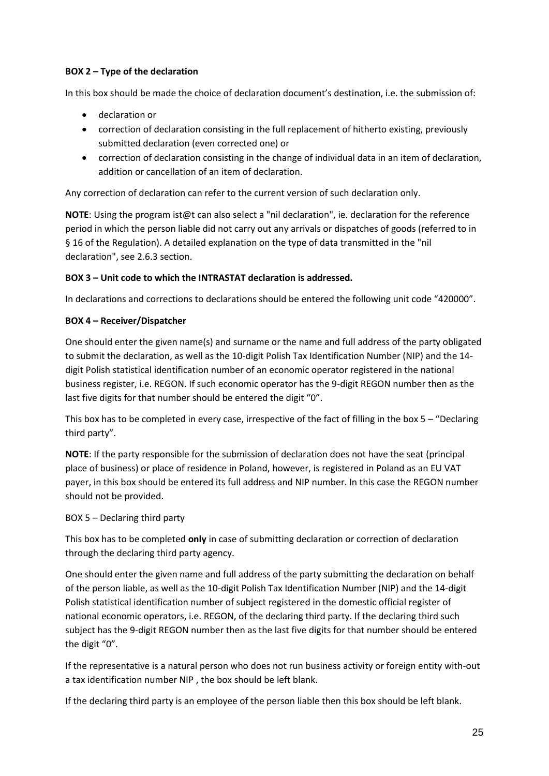#### **BOX 2 – Type of the declaration**

In this box should be made the choice of declaration document's destination, i.e. the submission of:

- declaration or
- correction of declaration consisting in the full replacement of hitherto existing, previously submitted declaration (even corrected one) or
- correction of declaration consisting in the change of individual data in an item of declaration, addition or cancellation of an item of declaration.

Any correction of declaration can refer to the current version of such declaration only.

**NOTE**: Using the program ist@t can also select a "nil declaration", ie. declaration for the reference period in which the person liable did not carry out any arrivals or dispatches of goods (referred to in § 16 of the Regulation). A detailed explanation on the type of data transmitted in the "nil declaration", see 2.6.3 section.

#### **BOX 3 – Unit code to which the INTRASTAT declaration is addressed.**

In declarations and corrections to declarations should be entered the following unit code "420000".

#### **BOX 4 – Receiver/Dispatcher**

One should enter the given name(s) and surname or the name and full address of the party obligated to submit the declaration, as well as the 10-digit Polish Tax Identification Number (NIP) and the 14 digit Polish statistical identification number of an economic operator registered in the national business register, i.e. REGON. If such economic operator has the 9-digit REGON number then as the last five digits for that number should be entered the digit "0".

This box has to be completed in every case, irrespective of the fact of filling in the box  $5 - r$  Declaring third party".

**NOTE**: If the party responsible for the submission of declaration does not have the seat (principal place of business) or place of residence in Poland, however, is registered in Poland as an EU VAT payer, in this box should be entered its full address and NIP number. In this case the REGON number should not be provided.

#### BOX 5 – Declaring third party

This box has to be completed **only** in case of submitting declaration or correction of declaration through the declaring third party agency.

One should enter the given name and full address of the party submitting the declaration on behalf of the person liable, as well as the 10-digit Polish Tax Identification Number (NIP) and the 14-digit Polish statistical identification number of subject registered in the domestic official register of national economic operators, i.e. REGON, of the declaring third party. If the declaring third such subject has the 9-digit REGON number then as the last five digits for that number should be entered the digit "0".

If the representative is a natural person who does not run business activity or foreign entity with-out a tax identification number NIP , the box should be left blank.

If the declaring third party is an employee of the person liable then this box should be left blank.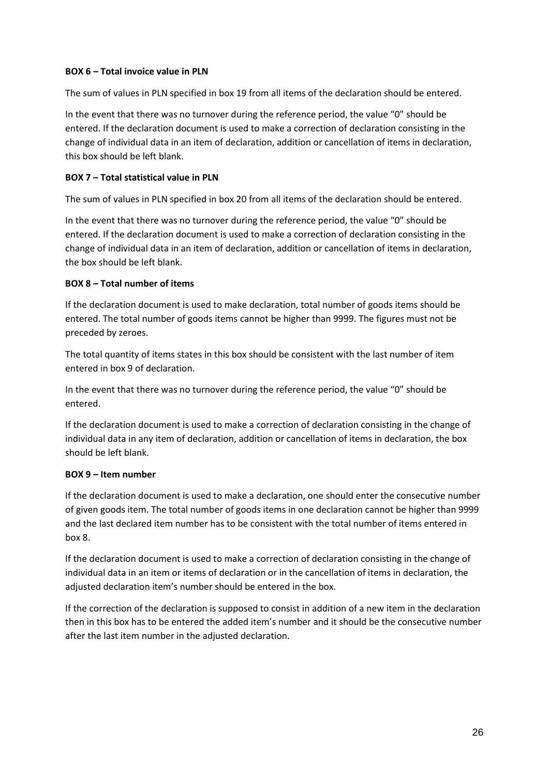#### **BOX 6 – Total invoice value in PLN**

The sum of values in PLN specified in box 19 from all items of the declaration should be entered.

In the event that there was no turnover during the reference period, the value "0" should be entered. If the declaration document is used to make a correction of declaration consisting in the change of individual data in an item of declaration, addition or cancellation of items in declaration, this box should be left blank.

#### **BOX 7 – Total statistical value in PLN**

The sum of values in PLN specified in box 20 from all items of the declaration should be entered.

In the event that there was no turnover during the reference period, the value "0" should be entered. If the declaration document is used to make a correction of declaration consisting in the change of individual data in an item of declaration, addition or cancellation of items in declaration, the box should be left blank.

#### **BOX 8 – Total number of items**

If the declaration document is used to make declaration, total number of goods items should be entered. The total number of goods items cannot be higher than 9999. The figures must not be preceded by zeroes.

The total quantity of items states in this box should be consistent with the last number of item entered in box 9 of declaration.

In the event that there was no turnover during the reference period, the value "0" should be entered.

If the declaration document is used to make a correction of declaration consisting in the change of individual data in any item of declaration, addition or cancellation of items in declaration, the box should be left blank.

#### **BOX 9 – Item number**

If the declaration document is used to make a declaration, one should enter the consecutive number of given goods item. The total number of goods items in one declaration cannot be higher than 9999 and the last declared item number has to be consistent with the total number of items entered in box 8.

If the declaration document is used to make a correction of declaration consisting in the change of individual data in an item or items of declaration or in the cancellation of items in declaration, the adjusted declaration item's number should be entered in the box.

If the correction of the declaration is supposed to consist in addition of a new item in the declaration then in this box has to be entered the added item's number and it should be the consecutive number after the last item number in the adjusted declaration.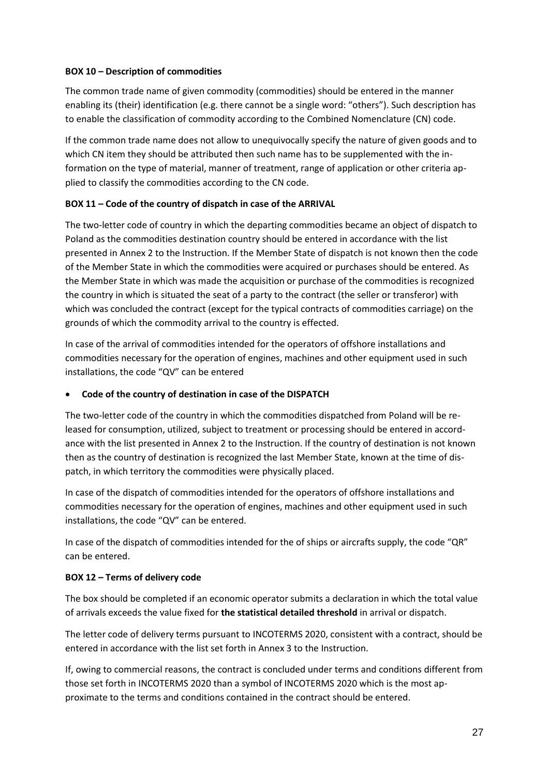#### **BOX 10 – Description of commodities**

The common trade name of given commodity (commodities) should be entered in the manner enabling its (their) identification (e.g. there cannot be a single word: "others"). Such description has to enable the classification of commodity according to the Combined Nomenclature (CN) code.

If the common trade name does not allow to unequivocally specify the nature of given goods and to which CN item they should be attributed then such name has to be supplemented with the information on the type of material, manner of treatment, range of application or other criteria applied to classify the commodities according to the CN code.

#### **BOX 11 – Code of the country of dispatch in case of the ARRIVAL**

The two-letter code of country in which the departing commodities became an object of dispatch to Poland as the commodities destination country should be entered in accordance with the list presented in Annex 2 to the Instruction. If the Member State of dispatch is not known then the code of the Member State in which the commodities were acquired or purchases should be entered. As the Member State in which was made the acquisition or purchase of the commodities is recognized the country in which is situated the seat of a party to the contract (the seller or transferor) with which was concluded the contract (except for the typical contracts of commodities carriage) on the grounds of which the commodity arrival to the country is effected.

In case of the arrival of commodities intended for the operators of offshore installations and commodities necessary for the operation of engines, machines and other equipment used in such installations, the code "QV" can be entered

#### • **Code of the country of destination in case of the DISPATCH**

The two-letter code of the country in which the commodities dispatched from Poland will be released for consumption, utilized, subject to treatment or processing should be entered in accordance with the list presented in Annex 2 to the Instruction. If the country of destination is not known then as the country of destination is recognized the last Member State, known at the time of dispatch, in which territory the commodities were physically placed.

In case of the dispatch of commodities intended for the operators of offshore installations and commodities necessary for the operation of engines, machines and other equipment used in such installations, the code "QV" can be entered.

In case of the dispatch of commodities intended for the of ships or aircrafts supply, the code "QR" can be entered.

#### **BOX 12 – Terms of delivery code**

The box should be completed if an economic operator submits a declaration in which the total value of arrivals exceeds the value fixed for **the statistical detailed threshold** in arrival or dispatch.

The letter code of delivery terms pursuant to INCOTERMS 2020, consistent with a contract, should be entered in accordance with the list set forth in Annex 3 to the Instruction.

If, owing to commercial reasons, the contract is concluded under terms and conditions different from those set forth in INCOTERMS 2020 than a symbol of INCOTERMS 2020 which is the most approximate to the terms and conditions contained in the contract should be entered.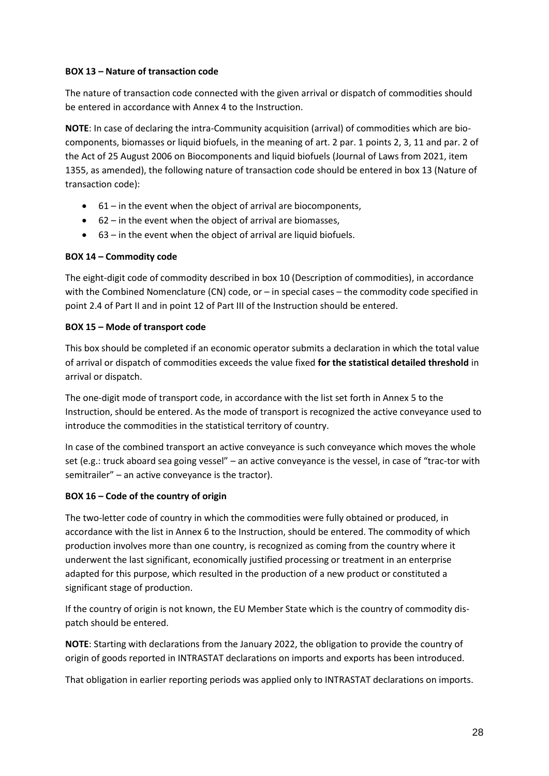#### **BOX 13 – Nature of transaction code**

The nature of transaction code connected with the given arrival or dispatch of commodities should be entered in accordance with Annex 4 to the Instruction.

**NOTE**: In case of declaring the intra-Community acquisition (arrival) of commodities which are biocomponents, biomasses or liquid biofuels, in the meaning of art. 2 par. 1 points 2, 3, 11 and par. 2 of the Act of 25 August 2006 on Biocomponents and liquid biofuels (Journal of Laws from 2021, item 1355, as amended), the following nature of transaction code should be entered in box 13 (Nature of transaction code):

- 61 in the event when the object of arrival are biocomponents,
- 62 in the event when the object of arrival are biomasses,
- 63 in the event when the object of arrival are liquid biofuels.

#### **BOX 14 – Commodity code**

The eight-digit code of commodity described in box 10 (Description of commodities), in accordance with the Combined Nomenclature (CN) code, or – in special cases – the commodity code specified in point 2.4 of Part II and in point 12 of Part III of the Instruction should be entered.

#### **BOX 15 – Mode of transport code**

This box should be completed if an economic operator submits a declaration in which the total value of arrival or dispatch of commodities exceeds the value fixed **for the statistical detailed threshold** in arrival or dispatch.

The one-digit mode of transport code, in accordance with the list set forth in Annex 5 to the Instruction, should be entered. As the mode of transport is recognized the active conveyance used to introduce the commodities in the statistical territory of country.

In case of the combined transport an active conveyance is such conveyance which moves the whole set (e.g.: truck aboard sea going vessel" – an active conveyance is the vessel, in case of "trac-tor with semitrailer" – an active conveyance is the tractor).

#### **BOX 16 – Code of the country of origin**

The two-letter code of country in which the commodities were fully obtained or produced, in accordance with the list in Annex 6 to the Instruction, should be entered. The commodity of which production involves more than one country, is recognized as coming from the country where it underwent the last significant, economically justified processing or treatment in an enterprise adapted for this purpose, which resulted in the production of a new product or constituted a significant stage of production.

If the country of origin is not known, the EU Member State which is the country of commodity dispatch should be entered.

**NOTE**: Starting with declarations from the January 2022, the obligation to provide the country of origin of goods reported in INTRASTAT declarations on imports and exports has been introduced.

That obligation in earlier reporting periods was applied only to INTRASTAT declarations on imports.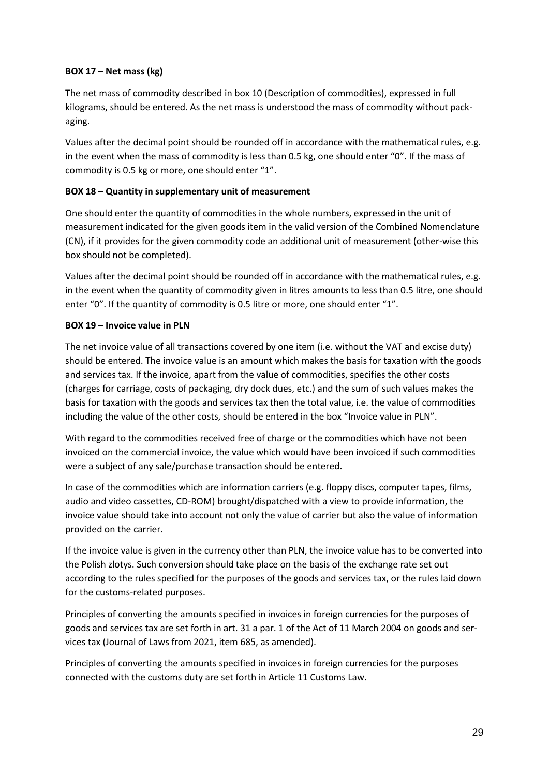#### **BOX 17 – Net mass (kg)**

The net mass of commodity described in box 10 (Description of commodities), expressed in full kilograms, should be entered. As the net mass is understood the mass of commodity without packaging.

Values after the decimal point should be rounded off in accordance with the mathematical rules, e.g. in the event when the mass of commodity is less than 0.5 kg, one should enter "0". If the mass of commodity is 0.5 kg or more, one should enter "1".

#### **BOX 18 – Quantity in supplementary unit of measurement**

One should enter the quantity of commodities in the whole numbers, expressed in the unit of measurement indicated for the given goods item in the valid version of the Combined Nomenclature (CN), if it provides for the given commodity code an additional unit of measurement (other-wise this box should not be completed).

Values after the decimal point should be rounded off in accordance with the mathematical rules, e.g. in the event when the quantity of commodity given in litres amounts to less than 0.5 litre, one should enter "0". If the quantity of commodity is 0.5 litre or more, one should enter "1".

#### **BOX 19 – Invoice value in PLN**

The net invoice value of all transactions covered by one item (i.e. without the VAT and excise duty) should be entered. The invoice value is an amount which makes the basis for taxation with the goods and services tax. If the invoice, apart from the value of commodities, specifies the other costs (charges for carriage, costs of packaging, dry dock dues, etc.) and the sum of such values makes the basis for taxation with the goods and services tax then the total value, i.e. the value of commodities including the value of the other costs, should be entered in the box "Invoice value in PLN".

With regard to the commodities received free of charge or the commodities which have not been invoiced on the commercial invoice, the value which would have been invoiced if such commodities were a subject of any sale/purchase transaction should be entered.

In case of the commodities which are information carriers (e.g. floppy discs, computer tapes, films, audio and video cassettes, CD-ROM) brought/dispatched with a view to provide information, the invoice value should take into account not only the value of carrier but also the value of information provided on the carrier.

If the invoice value is given in the currency other than PLN, the invoice value has to be converted into the Polish zlotys. Such conversion should take place on the basis of the exchange rate set out according to the rules specified for the purposes of the goods and services tax, or the rules laid down for the customs-related purposes.

Principles of converting the amounts specified in invoices in foreign currencies for the purposes of goods and services tax are set forth in art. 31 a par. 1 of the Act of 11 March 2004 on goods and services tax (Journal of Laws from 2021, item 685, as amended).

Principles of converting the amounts specified in invoices in foreign currencies for the purposes connected with the customs duty are set forth in Article 11 Customs Law.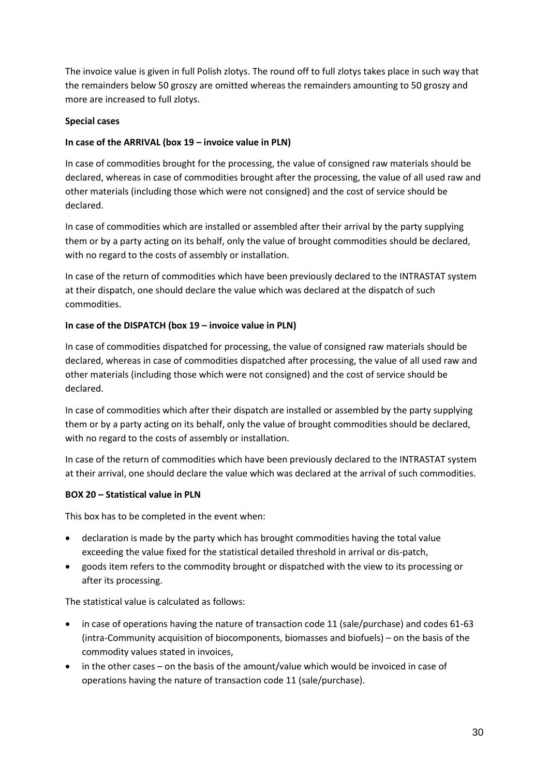The invoice value is given in full Polish zlotys. The round off to full zlotys takes place in such way that the remainders below 50 groszy are omitted whereas the remainders amounting to 50 groszy and more are increased to full zlotys.

#### **Special cases**

#### **In case of the ARRIVAL (box 19 – invoice value in PLN)**

In case of commodities brought for the processing, the value of consigned raw materials should be declared, whereas in case of commodities brought after the processing, the value of all used raw and other materials (including those which were not consigned) and the cost of service should be declared.

In case of commodities which are installed or assembled after their arrival by the party supplying them or by a party acting on its behalf, only the value of brought commodities should be declared, with no regard to the costs of assembly or installation.

In case of the return of commodities which have been previously declared to the INTRASTAT system at their dispatch, one should declare the value which was declared at the dispatch of such commodities.

#### **In case of the DISPATCH (box 19 – invoice value in PLN)**

In case of commodities dispatched for processing, the value of consigned raw materials should be declared, whereas in case of commodities dispatched after processing, the value of all used raw and other materials (including those which were not consigned) and the cost of service should be declared.

In case of commodities which after their dispatch are installed or assembled by the party supplying them or by a party acting on its behalf, only the value of brought commodities should be declared, with no regard to the costs of assembly or installation.

In case of the return of commodities which have been previously declared to the INTRASTAT system at their arrival, one should declare the value which was declared at the arrival of such commodities.

#### **BOX 20 – Statistical value in PLN**

This box has to be completed in the event when:

- declaration is made by the party which has brought commodities having the total value exceeding the value fixed for the statistical detailed threshold in arrival or dis-patch,
- goods item refers to the commodity brought or dispatched with the view to its processing or after its processing.

The statistical value is calculated as follows:

- in case of operations having the nature of transaction code 11 (sale/purchase) and codes 61-63 (intra-Community acquisition of biocomponents, biomasses and biofuels) – on the basis of the commodity values stated in invoices,
- in the other cases on the basis of the amount/value which would be invoiced in case of operations having the nature of transaction code 11 (sale/purchase).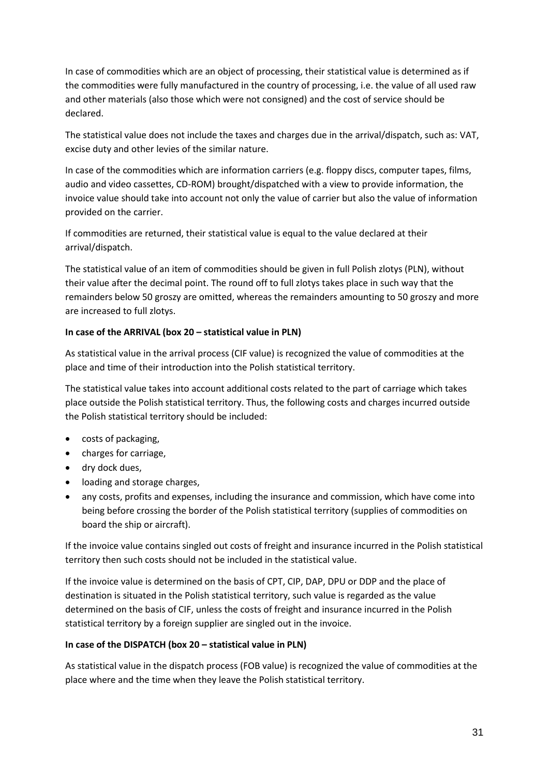In case of commodities which are an object of processing, their statistical value is determined as if the commodities were fully manufactured in the country of processing, i.e. the value of all used raw and other materials (also those which were not consigned) and the cost of service should be declared.

The statistical value does not include the taxes and charges due in the arrival/dispatch, such as: VAT, excise duty and other levies of the similar nature.

In case of the commodities which are information carriers (e.g. floppy discs, computer tapes, films, audio and video cassettes, CD-ROM) brought/dispatched with a view to provide information, the invoice value should take into account not only the value of carrier but also the value of information provided on the carrier.

If commodities are returned, their statistical value is equal to the value declared at their arrival/dispatch.

The statistical value of an item of commodities should be given in full Polish zlotys (PLN), without their value after the decimal point. The round off to full zlotys takes place in such way that the remainders below 50 groszy are omitted, whereas the remainders amounting to 50 groszy and more are increased to full zlotys.

#### **In case of the ARRIVAL (box 20 – statistical value in PLN)**

As statistical value in the arrival process (CIF value) is recognized the value of commodities at the place and time of their introduction into the Polish statistical territory.

The statistical value takes into account additional costs related to the part of carriage which takes place outside the Polish statistical territory. Thus, the following costs and charges incurred outside the Polish statistical territory should be included:

- costs of packaging,
- charges for carriage,
- dry dock dues,
- loading and storage charges,
- any costs, profits and expenses, including the insurance and commission, which have come into being before crossing the border of the Polish statistical territory (supplies of commodities on board the ship or aircraft).

If the invoice value contains singled out costs of freight and insurance incurred in the Polish statistical territory then such costs should not be included in the statistical value.

If the invoice value is determined on the basis of CPT, CIP, DAP, DPU or DDP and the place of destination is situated in the Polish statistical territory, such value is regarded as the value determined on the basis of CIF, unless the costs of freight and insurance incurred in the Polish statistical territory by a foreign supplier are singled out in the invoice.

#### **In case of the DISPATCH (box 20 – statistical value in PLN)**

As statistical value in the dispatch process (FOB value) is recognized the value of commodities at the place where and the time when they leave the Polish statistical territory.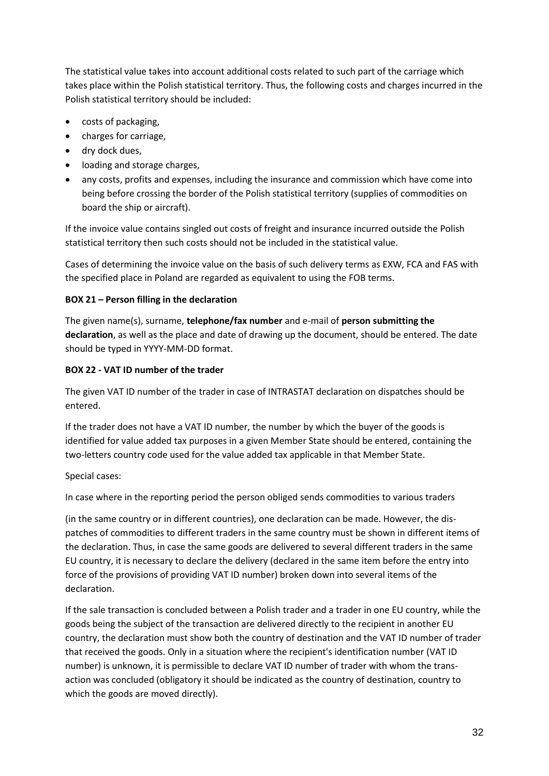The statistical value takes into account additional costs related to such part of the carriage which takes place within the Polish statistical territory. Thus, the following costs and charges incurred in the Polish statistical territory should be included:

- costs of packaging,
- charges for carriage,
- dry dock dues,
- loading and storage charges,
- any costs, profits and expenses, including the insurance and commission which have come into being before crossing the border of the Polish statistical territory (supplies of commodities on board the ship or aircraft).

If the invoice value contains singled out costs of freight and insurance incurred outside the Polish statistical territory then such costs should not be included in the statistical value.

Cases of determining the invoice value on the basis of such delivery terms as EXW, FCA and FAS with the specified place in Poland are regarded as equivalent to using the FOB terms.

#### **BOX 21 – Person filling in the declaration**

The given name(s), surname, **telephone/fax number** and e-mail of **person submitting the declaration**, as well as the place and date of drawing up the document, should be entered. The date should be typed in YYYY-MM-DD format.

#### **BOX 22 - VAT ID number of the trader**

The given VAT ID number of the trader in case of INTRASTAT declaration on dispatches should be entered.

If the trader does not have a VAT ID number, the number by which the buyer of the goods is identified for value added tax purposes in a given Member State should be entered, containing the two-letters country code used for the value added tax applicable in that Member State.

Special cases:

In case where in the reporting period the person obliged sends commodities to various traders

(in the same country or in different countries), one declaration can be made. However, the dispatches of commodities to different traders in the same country must be shown in different items of the declaration. Thus, in case the same goods are delivered to several different traders in the same EU country, it is necessary to declare the delivery (declared in the same item before the entry into force of the provisions of providing VAT ID number) broken down into several items of the declaration.

If the sale transaction is concluded between a Polish trader and a trader in one EU country, while the goods being the subject of the transaction are delivered directly to the recipient in another EU country, the declaration must show both the country of destination and the VAT ID number of trader that received the goods. Only in a situation where the recipient's identification number (VAT ID number) is unknown, it is permissible to declare VAT ID number of trader with whom the transaction was concluded (obligatory it should be indicated as the country of destination, country to which the goods are moved directly).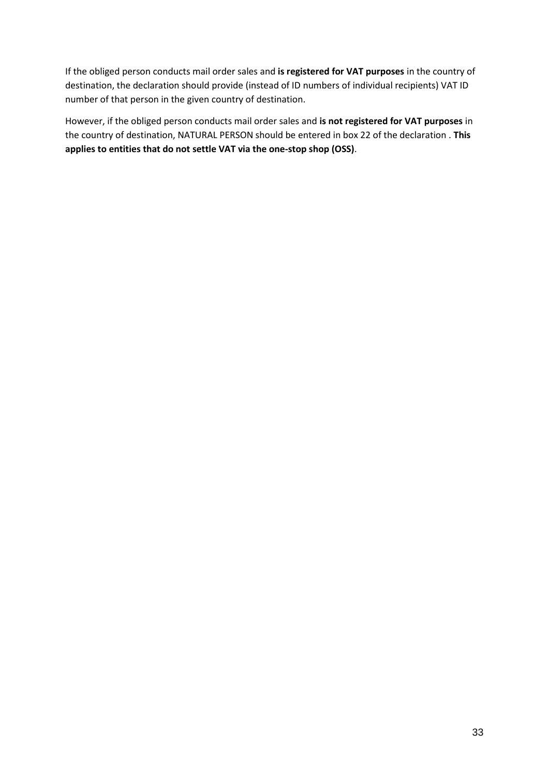If the obliged person conducts mail order sales and **is registered for VAT purposes** in the country of destination, the declaration should provide (instead of ID numbers of individual recipients) VAT ID number of that person in the given country of destination.

However, if the obliged person conducts mail order sales and **is not registered for VAT purposes** in the country of destination, NATURAL PERSON should be entered in box 22 of the declaration . **This applies to entities that do not settle VAT via the one-stop shop (OSS)**.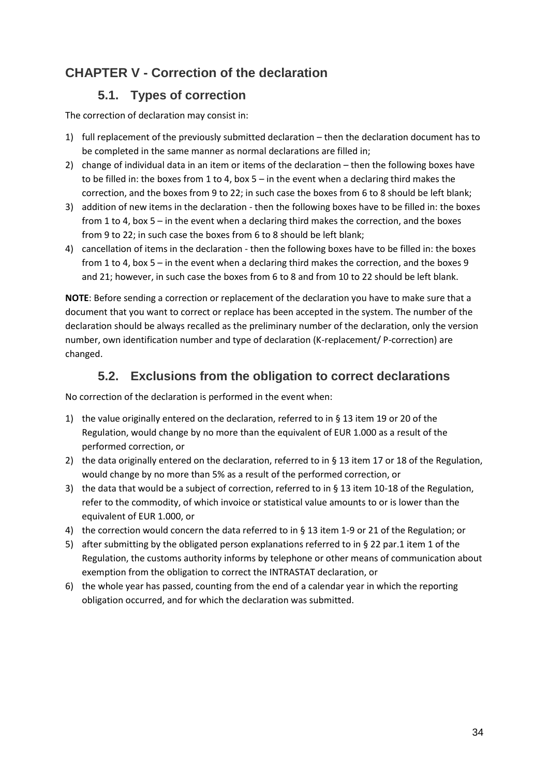### <span id="page-33-0"></span>**CHAPTER V - Correction of the declaration**

### **5.1. Types of correction**

<span id="page-33-1"></span>The correction of declaration may consist in:

- 1) full replacement of the previously submitted declaration then the declaration document has to be completed in the same manner as normal declarations are filled in;
- 2) change of individual data in an item or items of the declaration then the following boxes have to be filled in: the boxes from 1 to 4, box  $5 - in$  the event when a declaring third makes the correction, and the boxes from 9 to 22; in such case the boxes from 6 to 8 should be left blank;
- 3) addition of new items in the declaration then the following boxes have to be filled in: the boxes from 1 to 4, box 5 – in the event when a declaring third makes the correction, and the boxes from 9 to 22; in such case the boxes from 6 to 8 should be left blank;
- 4) cancellation of items in the declaration then the following boxes have to be filled in: the boxes from 1 to 4, box 5 – in the event when a declaring third makes the correction, and the boxes 9 and 21; however, in such case the boxes from 6 to 8 and from 10 to 22 should be left blank.

**NOTE**: Before sending a correction or replacement of the declaration you have to make sure that a document that you want to correct or replace has been accepted in the system. The number of the declaration should be always recalled as the preliminary number of the declaration, only the version number, own identification number and type of declaration (K-replacement/ P-correction) are changed.

### **5.2. Exclusions from the obligation to correct declarations**

<span id="page-33-2"></span>No correction of the declaration is performed in the event when:

- 1) the value originally entered on the declaration, referred to in § 13 item 19 or 20 of the Regulation, would change by no more than the equivalent of EUR 1.000 as a result of the performed correction, or
- 2) the data originally entered on the declaration, referred to in § 13 item 17 or 18 of the Regulation, would change by no more than 5% as a result of the performed correction, or
- 3) the data that would be a subject of correction, referred to in § 13 item 10-18 of the Regulation, refer to the commodity, of which invoice or statistical value amounts to or is lower than the equivalent of EUR 1.000, or
- 4) the correction would concern the data referred to in § 13 item 1-9 or 21 of the Regulation; or
- 5) after submitting by the obligated person explanations referred to in § 22 par.1 item 1 of the Regulation, the customs authority informs by telephone or other means of communication about exemption from the obligation to correct the INTRASTAT declaration, or
- 6) the whole year has passed, counting from the end of a calendar year in which the reporting obligation occurred, and for which the declaration was submitted.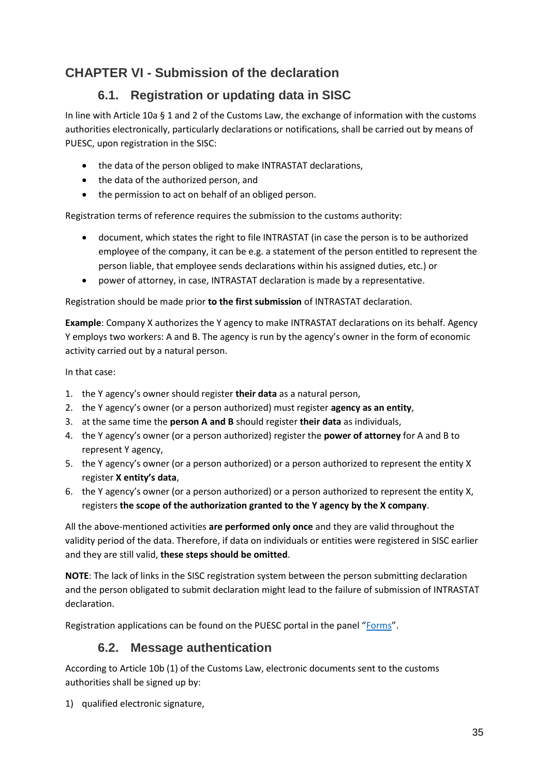### <span id="page-34-0"></span>**CHAPTER VI - Submission of the declaration**

### **6.1. Registration or updating data in SISC**

<span id="page-34-1"></span>In line with Article 10a § 1 and 2 of the Customs Law, the exchange of information with the customs authorities electronically, particularly declarations or notifications, shall be carried out by means of PUESC, upon registration in the SISC:

- the data of the person obliged to make INTRASTAT declarations,
- the data of the authorized person, and
- the permission to act on behalf of an obliged person.

Registration terms of reference requires the submission to the customs authority:

- document, which states the right to file INTRASTAT (in case the person is to be authorized employee of the company, it can be e.g. a statement of the person entitled to represent the person liable, that employee sends declarations within his assigned duties, etc.) or
- power of attorney, in case, INTRASTAT declaration is made by a representative.

Registration should be made prior **to the first submission** of INTRASTAT declaration.

**Example**: Company X authorizes the Y agency to make INTRASTAT declarations on its behalf. Agency Y employs two workers: A and B. The agency is run by the agency's owner in the form of economic activity carried out by a natural person.

In that case:

- 1. the Y agency's owner should register **their data** as a natural person,
- 2. the Y agency's owner (or a person authorized) must register **agency as an entity**,
- 3. at the same time the **person A and B** should register **their data** as individuals,
- 4. the Y agency's owner (or a person authorized) register the **power of attorney** for A and B to represent Y agency,
- 5. the Y agency's owner (or a person authorized) or a person authorized to represent the entity X register **X entity's data**,
- 6. the Y agency's owner (or a person authorized) or a person authorized to represent the entity X, registers **the scope of the authorization granted to the Y agency by the X company**.

All the above-mentioned activities **are performed only once** and they are valid throughout the validity period of the data. Therefore, if data on individuals or entities were registered in SISC earlier and they are still valid, **these steps should be omitted**.

**NOTE**: The lack of links in the SISC registration system between the person submitting declaration and the person obligated to submit declaration might lead to the failure of submission of INTRASTAT declaration.

<span id="page-34-2"></span>Registration applications can be found on the PUESC portal in the panel "[Forms](https://puesc.gov.pl/uslugi/formularze)".

### **6.2. Message authentication**

According to Article 10b (1) of the Customs Law, electronic documents sent to the customs authorities shall be signed up by:

1) qualified electronic signature,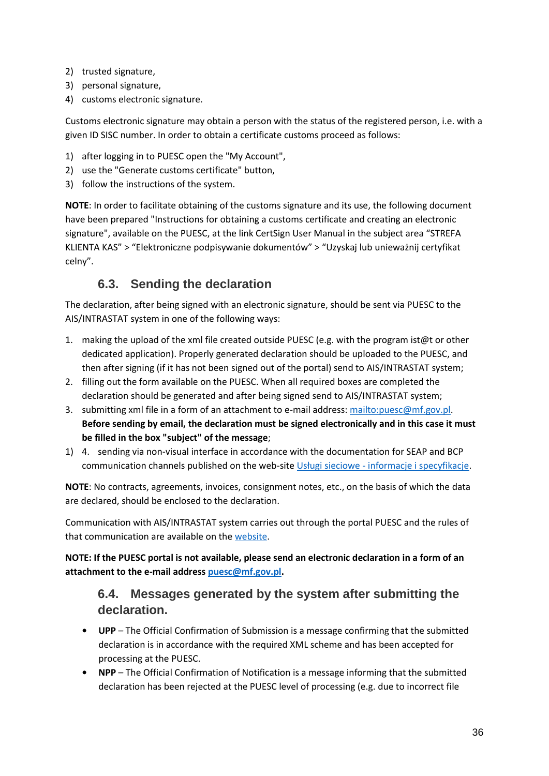- 2) trusted signature,
- 3) personal signature,
- 4) customs electronic signature.

Customs electronic signature may obtain a person with the status of the registered person, i.e. with a given ID SISC number. In order to obtain a certificate customs proceed as follows:

- 1) after logging in to PUESC open the "My Account",
- 2) use the "Generate customs certificate" button,
- 3) follow the instructions of the system.

**NOTE**: In order to facilitate obtaining of the customs signature and its use, the following document have been prepared "Instructions for obtaining a customs certificate and creating an electronic signature", available on the PUESC, at the link CertSign User Manual in the subject area "STREFA KLIENTA KAS" > "Elektroniczne podpisywanie dokumentów" > "Uzyskaj lub unieważnij certyfikat celny".

### **6.3. Sending the declaration**

<span id="page-35-0"></span>The declaration, after being signed with an electronic signature, should be sent via PUESC to the AIS/INTRASTAT system in one of the following ways:

- 1. making the upload of the xml file created outside PUESC (e.g. with the program ist@t or other dedicated application). Properly generated declaration should be uploaded to the PUESC, and then after signing (if it has not been signed out of the portal) send to AIS/INTRASTAT system;
- 2. filling out the form available on the PUESC. When all required boxes are completed the declaration should be generated and after being signed send to AIS/INTRASTAT system;
- 3. submitting xml file in a form of an attachment to e-mail address[: mailto:puesc@mf.gov.pl.](mailto:puesc@mf.gov.pl) **Before sending by email, the declaration must be signed electronically and in this case it must be filled in the box "subject" of the message**;
- 1) 4. sending via non-visual interface in accordance with the documentation for SEAP and BCP communication channels published on the web-site Usługi sieciowe - [informacje i specyfikacje.](https://puesc.gov.pl/uslugi/uslugi-sieciowe-informacje-i-specyfikacje)

**NOTE**: No contracts, agreements, invoices, consignment notes, etc., on the basis of which the data are declared, should be enclosed to the declaration.

Communication with AIS/INTRASTAT system carries out through the portal PUESC and the rules of that communication are available on th[e website.](https://puesc.gov.pl/uslugi/formularze)

**NOTE: If the PUESC portal is not available, please send an electronic declaration in a form of an attachment to the e-mail addres[s puesc@mf.gov.pl.](mailto:puesc@mf.gov.pl)**

### <span id="page-35-1"></span>**6.4. Messages generated by the system after submitting the declaration.**

- **• UPP**  The Official Confirmation of Submission is a message confirming that the submitted declaration is in accordance with the required XML scheme and has been accepted for processing at the PUESC.
- **• NPP**  The Official Confirmation of Notification is a message informing that the submitted declaration has been rejected at the PUESC level of processing (e.g. due to incorrect file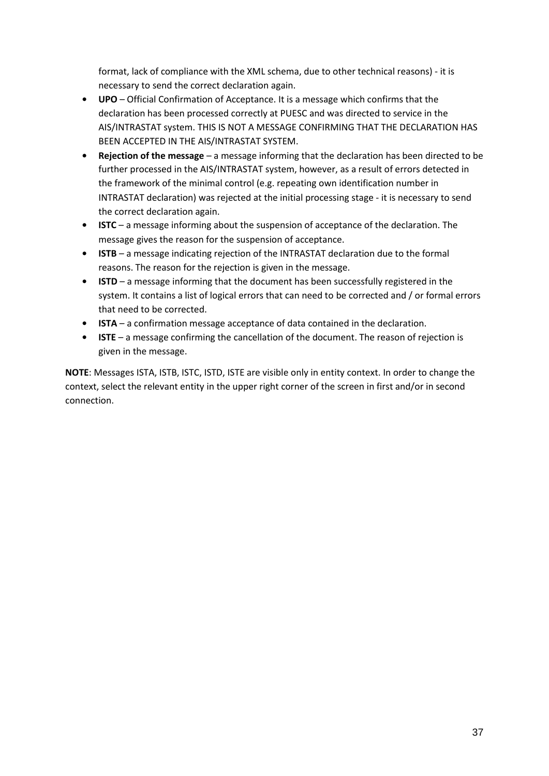format, lack of compliance with the XML schema, due to other technical reasons) - it is necessary to send the correct declaration again.

- **• UPO**  Official Confirmation of Acceptance. It is a message which confirms that the declaration has been processed correctly at PUESC and was directed to service in the AIS/INTRASTAT system. THIS IS NOT A MESSAGE CONFIRMING THAT THE DECLARATION HAS BEEN ACCEPTED IN THE AIS/INTRASTAT SYSTEM.
- **• Rejection of the message**  a message informing that the declaration has been directed to be further processed in the AIS/INTRASTAT system, however, as a result of errors detected in the framework of the minimal control (e.g. repeating own identification number in INTRASTAT declaration) was rejected at the initial processing stage - it is necessary to send the correct declaration again.
- **• ISTC**  a message informing about the suspension of acceptance of the declaration. The message gives the reason for the suspension of acceptance.
- **• ISTB**  a message indicating rejection of the INTRASTAT declaration due to the formal reasons. The reason for the rejection is given in the message.
- **• ISTD**  a message informing that the document has been successfully registered in the system. It contains a list of logical errors that can need to be corrected and / or formal errors that need to be corrected.
- **• ISTA**  a confirmation message acceptance of data contained in the declaration.
- **• ISTE**  a message confirming the cancellation of the document. The reason of rejection is given in the message.

**NOTE**: Messages ISTA, ISTB, ISTC, ISTD, ISTE are visible only in entity context. In order to change the context, select the relevant entity in the upper right corner of the screen in first and/or in second connection.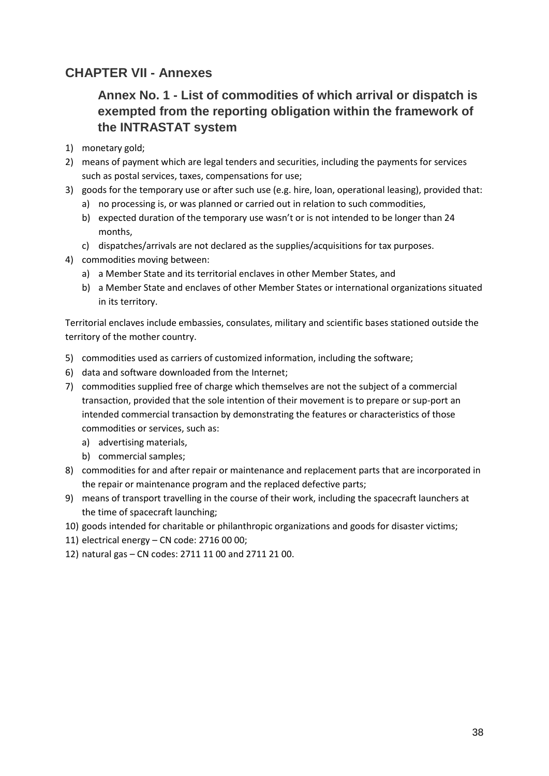### <span id="page-37-1"></span><span id="page-37-0"></span>**CHAPTER VII - Annexes**

### **Annex No. 1 - List of commodities of which arrival or dispatch is exempted from the reporting obligation within the framework of the INTRASTAT system**

- 1) monetary gold;
- 2) means of payment which are legal tenders and securities, including the payments for services such as postal services, taxes, compensations for use;
- 3) goods for the temporary use or after such use (e.g. hire, loan, operational leasing), provided that:
	- a) no processing is, or was planned or carried out in relation to such commodities,
	- b) expected duration of the temporary use wasn't or is not intended to be longer than 24 months,
	- c) dispatches/arrivals are not declared as the supplies/acquisitions for tax purposes.
- 4) commodities moving between:
	- a) a Member State and its territorial enclaves in other Member States, and
	- b) a Member State and enclaves of other Member States or international organizations situated in its territory.

Territorial enclaves include embassies, consulates, military and scientific bases stationed outside the territory of the mother country.

- 5) commodities used as carriers of customized information, including the software;
- 6) data and software downloaded from the Internet;
- 7) commodities supplied free of charge which themselves are not the subject of a commercial transaction, provided that the sole intention of their movement is to prepare or sup-port an intended commercial transaction by demonstrating the features or characteristics of those commodities or services, such as:
	- a) advertising materials,
	- b) commercial samples;
- 8) commodities for and after repair or maintenance and replacement parts that are incorporated in the repair or maintenance program and the replaced defective parts;
- 9) means of transport travelling in the course of their work, including the spacecraft launchers at the time of spacecraft launching;
- 10) goods intended for charitable or philanthropic organizations and goods for disaster victims;
- 11) electrical energy CN code: 2716 00 00;
- 12) natural gas CN codes: 2711 11 00 and 2711 21 00.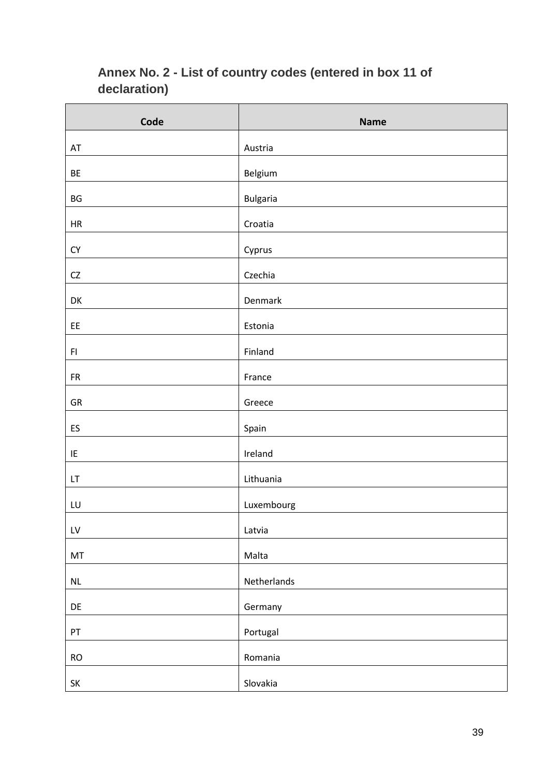<span id="page-38-0"></span>

| Annex No. 2 - List of country codes (entered in box 11 of<br>declaration) |             |  |
|---------------------------------------------------------------------------|-------------|--|
| Code                                                                      | <b>Name</b> |  |
| AT                                                                        | Austria     |  |
| ВE                                                                        | Belgium     |  |
|                                                                           |             |  |

# **Annex No. 2 - List of country codes (entered in box 11 of**

| BE                     | Belgium     |
|------------------------|-------------|
| BG                     | Bulgaria    |
| HR                     | Croatia     |
| CY                     | Cyprus      |
| $\mathsf{C}\mathsf{Z}$ | Czechia     |
| DK                     | Denmark     |
| EE                     | Estonia     |
| F1                     | Finland     |
| <b>FR</b>              | France      |
| GR                     | Greece      |
| ES                     | Spain       |
| IE                     | Ireland     |
| LT                     | Lithuania   |
| LU                     | Luxembourg  |
| ${\sf L}{\sf V}$       | Latvia      |
| MT                     | Malta       |
| $\sf NL$               | Netherlands |
| DE                     | Germany     |
| ${\sf PT}$             | Portugal    |
| RO                     | Romania     |
| SK                     | Slovakia    |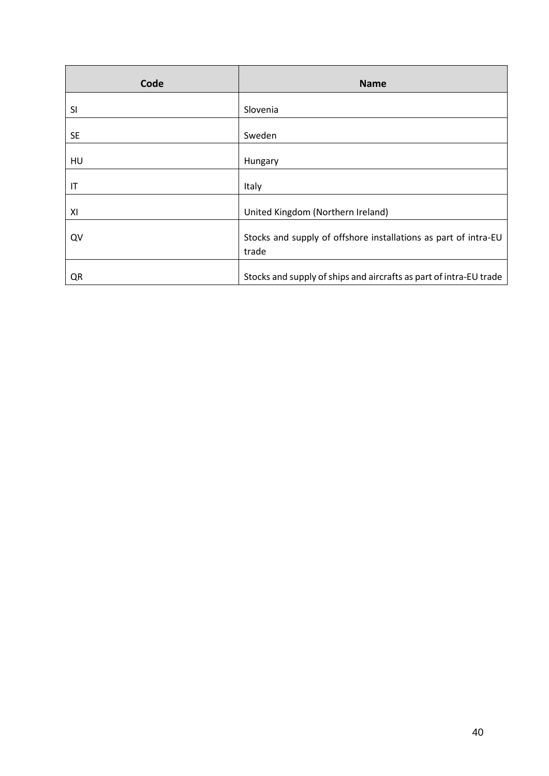| Code      | <b>Name</b>                                                              |
|-----------|--------------------------------------------------------------------------|
| SI        | Slovenia                                                                 |
| <b>SE</b> | Sweden                                                                   |
| HU        | Hungary                                                                  |
| IT        | Italy                                                                    |
| XI        | United Kingdom (Northern Ireland)                                        |
| QV        | Stocks and supply of offshore installations as part of intra-EU<br>trade |
| QR        | Stocks and supply of ships and aircrafts as part of intra-EU trade       |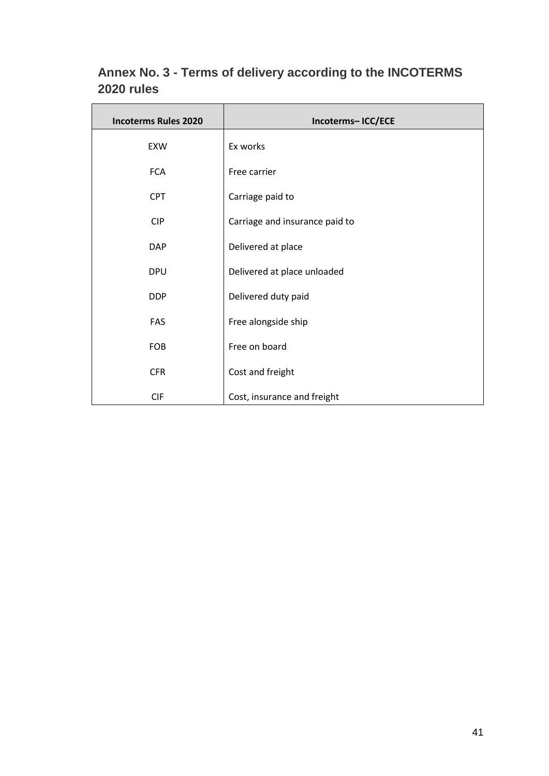| <b>Incoterms Rules 2020</b> | Incoterms-ICC/ECE              |  |  |  |
|-----------------------------|--------------------------------|--|--|--|
| EXW                         | Ex works                       |  |  |  |
| <b>FCA</b>                  | Free carrier                   |  |  |  |
| <b>CPT</b>                  | Carriage paid to               |  |  |  |
| <b>CIP</b>                  | Carriage and insurance paid to |  |  |  |
| <b>DAP</b>                  | Delivered at place             |  |  |  |
| <b>DPU</b>                  | Delivered at place unloaded    |  |  |  |
| <b>DDP</b>                  | Delivered duty paid            |  |  |  |
| FAS                         | Free alongside ship            |  |  |  |
| <b>FOB</b>                  | Free on board                  |  |  |  |
| <b>CFR</b>                  | Cost and freight               |  |  |  |
| <b>CIF</b>                  | Cost, insurance and freight    |  |  |  |

### <span id="page-40-0"></span>**Annex No. 3 - Terms of delivery according to the INCOTERMS 2020 rules**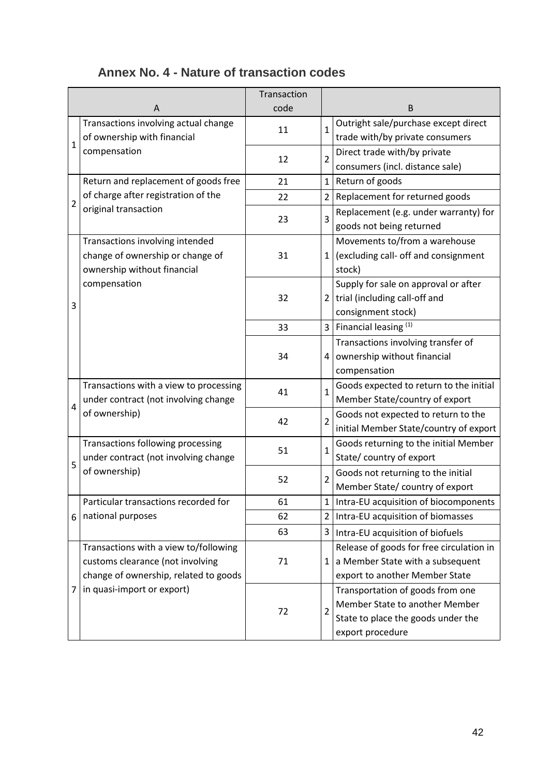<span id="page-41-0"></span>

|                |                                        | Transaction |                |                                                                   |
|----------------|----------------------------------------|-------------|----------------|-------------------------------------------------------------------|
| A              |                                        | code        |                | B                                                                 |
| $\mathbf{1}$   | Transactions involving actual change   | 11          | $\mathbf{1}$   | Outright sale/purchase except direct                              |
|                | of ownership with financial            |             |                | trade with/by private consumers                                   |
|                | compensation                           | 12          | $\overline{2}$ | Direct trade with/by private                                      |
|                |                                        |             |                | consumers (incl. distance sale)                                   |
|                | Return and replacement of goods free   | 21          |                | 1 Return of goods                                                 |
| $\overline{2}$ | of charge after registration of the    | 22          | 2 <sup>1</sup> | Replacement for returned goods                                    |
|                | original transaction                   | 23          | $\overline{3}$ | Replacement (e.g. under warranty) for<br>goods not being returned |
|                | Transactions involving intended        |             |                | Movements to/from a warehouse                                     |
|                | change of ownership or change of       | 31          | $1\vert$       | (excluding call- off and consignment                              |
|                | ownership without financial            |             |                | stock)                                                            |
|                | compensation                           |             |                | Supply for sale on approval or after                              |
| 3              |                                        | 32          |                | $2$ trial (including call-off and                                 |
|                |                                        |             |                | consignment stock)                                                |
|                |                                        | 33          |                | 3   Financial leasing $(1)$                                       |
|                |                                        |             |                | Transactions involving transfer of                                |
|                |                                        | 34          | $\overline{4}$ | ownership without financial                                       |
|                |                                        |             |                | compensation                                                      |
|                | Transactions with a view to processing | 41          | $\mathbf{1}$   | Goods expected to return to the initial                           |
| 4              | under contract (not involving change   |             |                | Member State/country of export                                    |
|                | of ownership)                          | 42          | $\overline{2}$ | Goods not expected to return to the                               |
|                |                                        |             |                | initial Member State/country of export                            |
|                | Transactions following processing      | 51          | $\mathbf{1}$   | Goods returning to the initial Member                             |
| 5              | under contract (not involving change   |             |                | State/ country of export                                          |
|                | of ownership)                          | 52          | $\overline{2}$ | Goods not returning to the initial                                |
|                |                                        |             |                | Member State/ country of export                                   |
|                | Particular transactions recorded for   | 61          | 1              | Intra-EU acquisition of biocomponents                             |
| 6              | national purposes                      | 62          | $\overline{2}$ | Intra-EU acquisition of biomasses                                 |
|                |                                        | 63          | 3 <sup>1</sup> | Intra-EU acquisition of biofuels                                  |
|                | Transactions with a view to/following  |             |                | Release of goods for free circulation in                          |
|                | customs clearance (not involving       | 71          | $\mathbf{1}$   | a Member State with a subsequent                                  |
|                | change of ownership, related to goods  |             |                | export to another Member State                                    |
| 7              | in quasi-import or export)             |             |                | Transportation of goods from one                                  |
|                |                                        | 72          | $\overline{2}$ | Member State to another Member                                    |
|                |                                        |             |                | State to place the goods under the                                |
|                |                                        |             |                | export procedure                                                  |

### **Annex No. 4 - Nature of transaction codes**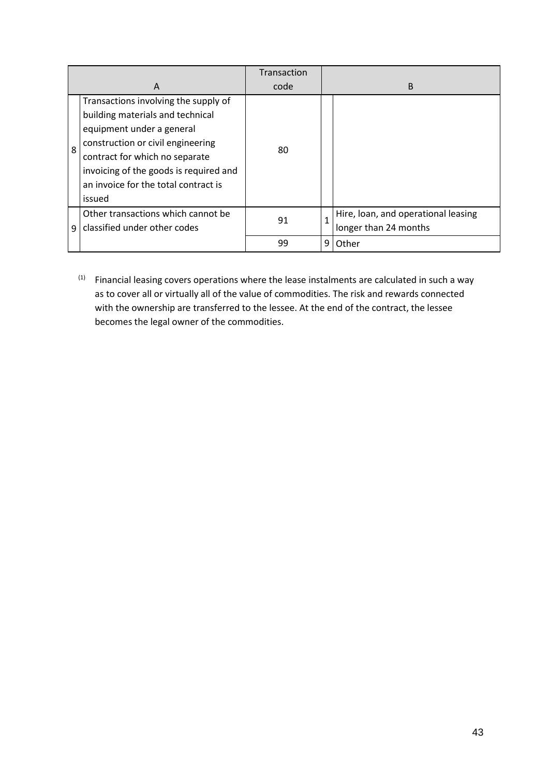|   |                                        | Transaction |   |                                     |  |
|---|----------------------------------------|-------------|---|-------------------------------------|--|
| A |                                        | code        |   | <sub>B</sub>                        |  |
|   | Transactions involving the supply of   |             |   |                                     |  |
|   | building materials and technical       |             |   |                                     |  |
| 8 | equipment under a general              |             |   |                                     |  |
|   | construction or civil engineering      | 80          |   |                                     |  |
|   | contract for which no separate         |             |   |                                     |  |
|   | invoicing of the goods is required and |             |   |                                     |  |
|   | an invoice for the total contract is   |             |   |                                     |  |
|   | issued                                 |             |   |                                     |  |
| ٩ | Other transactions which cannot be     | 91          |   | Hire, loan, and operational leasing |  |
|   | classified under other codes           |             |   | longer than 24 months               |  |
|   |                                        | 99          | 9 | Other                               |  |

 $(1)$  Financial leasing covers operations where the lease instalments are calculated in such a way as to cover all or virtually all of the value of commodities. The risk and rewards connected with the ownership are transferred to the lessee. At the end of the contract, the lessee becomes the legal owner of the commodities.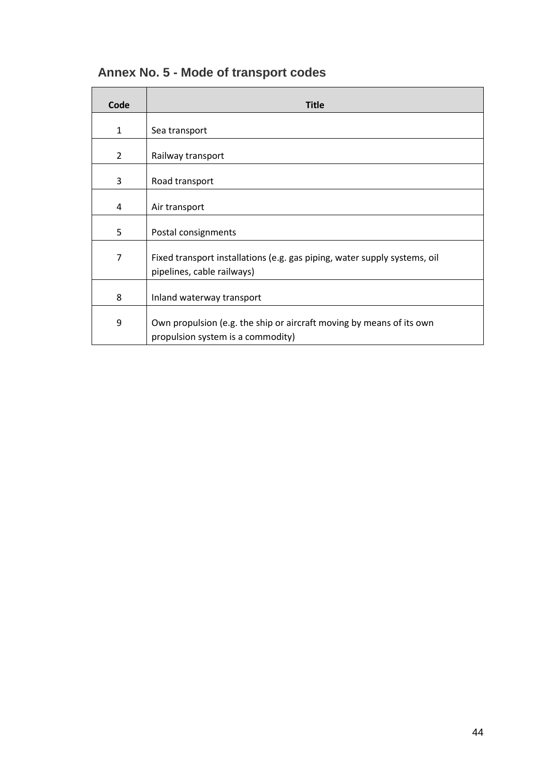| Code           | <b>Title</b>                                                                                              |
|----------------|-----------------------------------------------------------------------------------------------------------|
| $\mathbf{1}$   | Sea transport                                                                                             |
| $\overline{2}$ | Railway transport                                                                                         |
| 3              | Road transport                                                                                            |
| 4              | Air transport                                                                                             |
| 5              | Postal consignments                                                                                       |
| 7              | Fixed transport installations (e.g. gas piping, water supply systems, oil<br>pipelines, cable railways)   |
| 8              | Inland waterway transport                                                                                 |
| 9              | Own propulsion (e.g. the ship or aircraft moving by means of its own<br>propulsion system is a commodity) |

### <span id="page-43-0"></span>**Annex No. 5 - Mode of transport codes**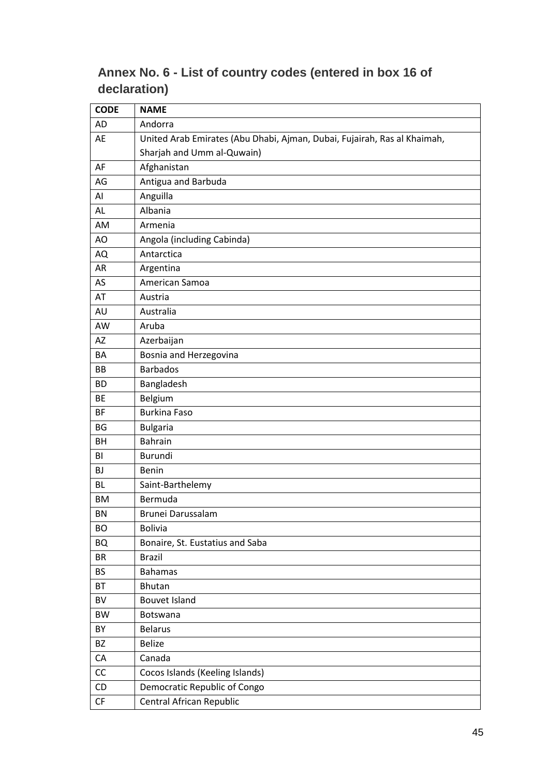### <span id="page-44-0"></span>**Annex No. 6 - List of country codes (entered in box 16 of declaration)**

| <b>CODE</b> | <b>NAME</b>                                                              |
|-------------|--------------------------------------------------------------------------|
| <b>AD</b>   | Andorra                                                                  |
| AE          | United Arab Emirates (Abu Dhabi, Ajman, Dubai, Fujairah, Ras al Khaimah, |
|             | Sharjah and Umm al-Quwain)                                               |
| AF          | Afghanistan                                                              |
| AG          | Antigua and Barbuda                                                      |
| Al          | Anguilla                                                                 |
| AL          | Albania                                                                  |
| AM          | Armenia                                                                  |
| AO          | Angola (including Cabinda)                                               |
| AQ          | Antarctica                                                               |
| AR          | Argentina                                                                |
| AS          | American Samoa                                                           |
| AT          | Austria                                                                  |
| AU          | Australia                                                                |
| AW          | Aruba                                                                    |
| AZ          | Azerbaijan                                                               |
| BA          | Bosnia and Herzegovina                                                   |
| BB          | <b>Barbados</b>                                                          |
| <b>BD</b>   | Bangladesh                                                               |
| BE          | Belgium                                                                  |
| <b>BF</b>   | <b>Burkina Faso</b>                                                      |
| <b>BG</b>   | <b>Bulgaria</b>                                                          |
| BH          | <b>Bahrain</b>                                                           |
| BI          | Burundi                                                                  |
| <b>BJ</b>   | Benin                                                                    |
| <b>BL</b>   | Saint-Barthelemy                                                         |
| <b>BM</b>   | Bermuda                                                                  |
| <b>BN</b>   | Brunei Darussalam                                                        |
| <b>BO</b>   | <b>Bolivia</b>                                                           |
| <b>BQ</b>   | Bonaire, St. Eustatius and Saba                                          |
| <b>BR</b>   | <b>Brazil</b>                                                            |
| <b>BS</b>   | <b>Bahamas</b>                                                           |
| BT          | <b>Bhutan</b>                                                            |
| BV          | <b>Bouvet Island</b>                                                     |
| BW          | Botswana                                                                 |
| BY          | <b>Belarus</b>                                                           |
| BZ          | <b>Belize</b>                                                            |
| CA          | Canada                                                                   |
| CC          | Cocos Islands (Keeling Islands)                                          |
| CD          | Democratic Republic of Congo                                             |
| CF          | Central African Republic                                                 |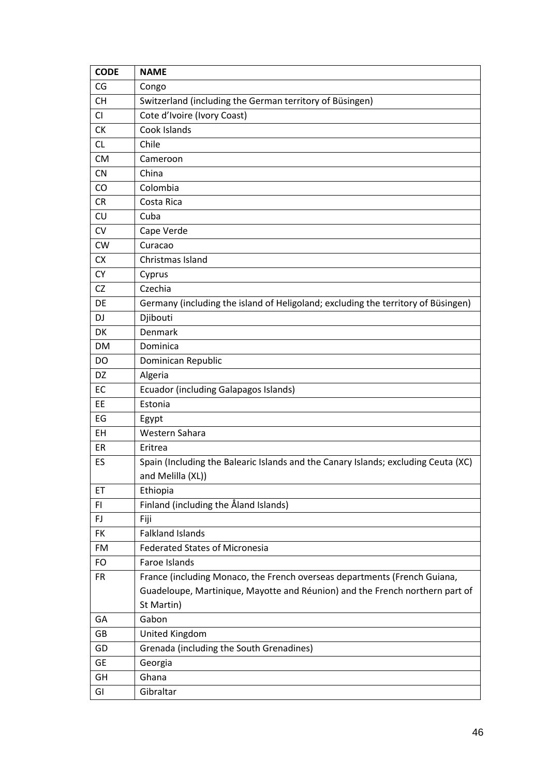| <b>CODE</b> | <b>NAME</b>                                                                        |
|-------------|------------------------------------------------------------------------------------|
| CG          | Congo                                                                              |
| <b>CH</b>   | Switzerland (including the German territory of Büsingen)                           |
| CI          | Cote d'Ivoire (Ivory Coast)                                                        |
| <b>CK</b>   | Cook Islands                                                                       |
| CL.         | Chile                                                                              |
| <b>CM</b>   | Cameroon                                                                           |
| CN          | China                                                                              |
| CO          | Colombia                                                                           |
| <b>CR</b>   | Costa Rica                                                                         |
| CU          | Cuba                                                                               |
| CV          | Cape Verde                                                                         |
| <b>CW</b>   | Curacao                                                                            |
| CX          | Christmas Island                                                                   |
| <b>CY</b>   | Cyprus                                                                             |
| CZ          | Czechia                                                                            |
| DE          | Germany (including the island of Heligoland; excluding the territory of Büsingen)  |
| DJ          | Djibouti                                                                           |
| DK          | Denmark                                                                            |
| <b>DM</b>   | Dominica                                                                           |
| DO          | Dominican Republic                                                                 |
| DZ          | Algeria                                                                            |
| EC          | Ecuador (including Galapagos Islands)                                              |
| EE          | Estonia                                                                            |
| EG          | Egypt                                                                              |
| EH          | Western Sahara                                                                     |
| ER          | Eritrea                                                                            |
| ES          | Spain (Including the Balearic Islands and the Canary Islands; excluding Ceuta (XC) |
|             | and Melilla (XL))                                                                  |
| ET          | Ethiopia                                                                           |
| FI.         | Finland (including the Åland Islands)                                              |
| FJ          | Fiji                                                                               |
| <b>FK</b>   | <b>Falkland Islands</b>                                                            |
| FM          | <b>Federated States of Micronesia</b>                                              |
| <b>FO</b>   | Faroe Islands                                                                      |
| <b>FR</b>   | France (including Monaco, the French overseas departments (French Guiana,          |
|             | Guadeloupe, Martinique, Mayotte and Réunion) and the French northern part of       |
|             | St Martin)                                                                         |
| GA          | Gabon                                                                              |
| GB          | United Kingdom                                                                     |
| GD          | Grenada (including the South Grenadines)                                           |
| GE          | Georgia                                                                            |
| GH          | Ghana                                                                              |
| GI          | Gibraltar                                                                          |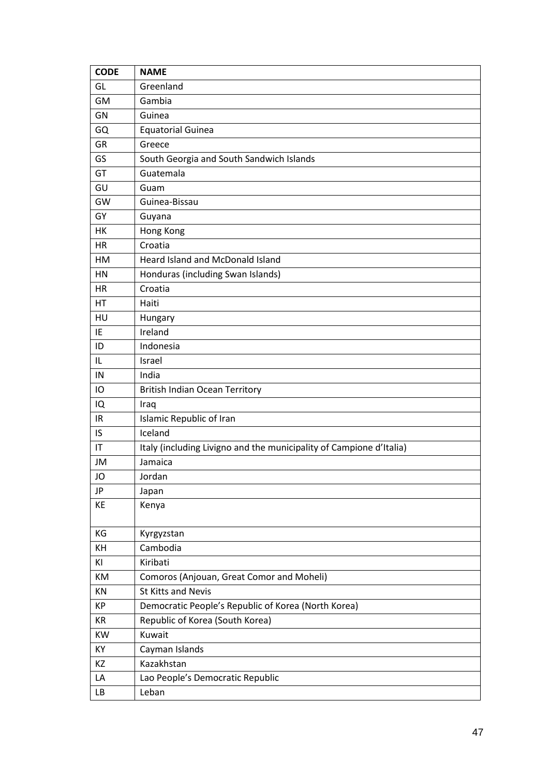| <b>CODE</b> | <b>NAME</b>                                                         |
|-------------|---------------------------------------------------------------------|
| GL          | Greenland                                                           |
| GM          | Gambia                                                              |
| GN          | Guinea                                                              |
| GQ          | <b>Equatorial Guinea</b>                                            |
| <b>GR</b>   | Greece                                                              |
| GS          | South Georgia and South Sandwich Islands                            |
| GT          | Guatemala                                                           |
| GU          | Guam                                                                |
| GW          | Guinea-Bissau                                                       |
| GY          | Guyana                                                              |
| HK          | Hong Kong                                                           |
| <b>HR</b>   | Croatia                                                             |
| HM          | Heard Island and McDonald Island                                    |
| HN          | Honduras (including Swan Islands)                                   |
| HR          | Croatia                                                             |
| HT          | Haiti                                                               |
| HU          | Hungary                                                             |
| IE          | Ireland                                                             |
| ID          | Indonesia                                                           |
| IL          | Israel                                                              |
| IN          | India                                                               |
| IO          | <b>British Indian Ocean Territory</b>                               |
| IQ          | Iraq                                                                |
| IR          | Islamic Republic of Iran                                            |
| IS          | Iceland                                                             |
| IT          | Italy (including Livigno and the municipality of Campione d'Italia) |
| JM          | Jamaica                                                             |
| JO          | Jordan                                                              |
| JP          | Japan                                                               |
| KE          | Kenya                                                               |
| KG          | Kyrgyzstan                                                          |
| KH          | Cambodia                                                            |
| ΚI          | Kiribati                                                            |
| KM          | Comoros (Anjouan, Great Comor and Moheli)                           |
| KN          | <b>St Kitts and Nevis</b>                                           |
| КP          | Democratic People's Republic of Korea (North Korea)                 |
| KR          | Republic of Korea (South Korea)                                     |
| KW          | Kuwait                                                              |
| КY          | Cayman Islands                                                      |
| KZ          | Kazakhstan                                                          |
| LA          | Lao People's Democratic Republic                                    |
| LB          | Leban                                                               |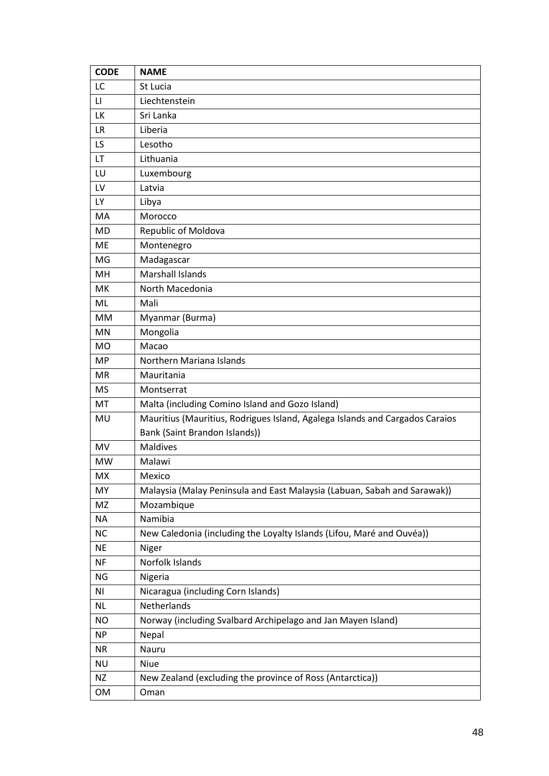| <b>CODE</b>            | <b>NAME</b>                                                                  |
|------------------------|------------------------------------------------------------------------------|
| LC                     | St Lucia                                                                     |
| $\mathsf{L}\mathsf{I}$ | Liechtenstein                                                                |
| LK                     | Sri Lanka                                                                    |
| <b>LR</b>              | Liberia                                                                      |
| LS.                    | Lesotho                                                                      |
| LT                     | Lithuania                                                                    |
| LU                     | Luxembourg                                                                   |
| LV                     | Latvia                                                                       |
| <b>LY</b>              | Libya                                                                        |
| MA                     | Morocco                                                                      |
| <b>MD</b>              | Republic of Moldova                                                          |
| ME                     | Montenegro                                                                   |
| MG                     | Madagascar                                                                   |
| <b>MH</b>              | <b>Marshall Islands</b>                                                      |
| МK                     | North Macedonia                                                              |
| ML                     | Mali                                                                         |
| <b>MM</b>              | Myanmar (Burma)                                                              |
| MN                     | Mongolia                                                                     |
| <b>MO</b>              | Macao                                                                        |
| <b>MP</b>              | Northern Mariana Islands                                                     |
| <b>MR</b>              | Mauritania                                                                   |
| <b>MS</b>              | Montserrat                                                                   |
| МT                     | Malta (including Comino Island and Gozo Island)                              |
| MU                     | Mauritius (Mauritius, Rodrigues Island, Agalega Islands and Cargados Caraios |
|                        | Bank (Saint Brandon Islands))                                                |
| <b>MV</b>              | <b>Maldives</b>                                                              |
| <b>MW</b>              | Malawi                                                                       |
| МX                     | Mexico                                                                       |
| MY                     | Malaysia (Malay Peninsula and East Malaysia (Labuan, Sabah and Sarawak))     |
| MZ                     | Mozambique                                                                   |
| <b>NA</b>              | Namibia                                                                      |
| NC                     | New Caledonia (including the Loyalty Islands (Lifou, Maré and Ouvéa))        |
| <b>NE</b>              | Niger                                                                        |
| <b>NF</b>              | Norfolk Islands                                                              |
| <b>NG</b>              | Nigeria                                                                      |
| ΝI                     | Nicaragua (including Corn Islands)                                           |
| <b>NL</b>              | Netherlands                                                                  |
| NO                     | Norway (including Svalbard Archipelago and Jan Mayen Island)                 |
| <b>NP</b>              | Nepal                                                                        |
| <b>NR</b>              | Nauru                                                                        |
| <b>NU</b>              | Niue                                                                         |
| <b>NZ</b>              | New Zealand (excluding the province of Ross (Antarctica))                    |
| OM                     | Oman                                                                         |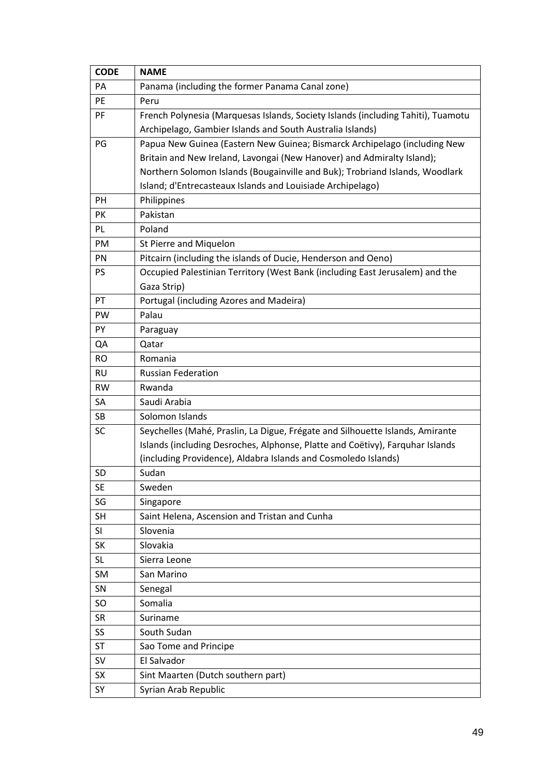| <b>CODE</b> | <b>NAME</b>                                                                      |
|-------------|----------------------------------------------------------------------------------|
| <b>PA</b>   | Panama (including the former Panama Canal zone)                                  |
| PE          | Peru                                                                             |
| PF          | French Polynesia (Marquesas Islands, Society Islands (including Tahiti), Tuamotu |
|             | Archipelago, Gambier Islands and South Australia Islands)                        |
| PG          | Papua New Guinea (Eastern New Guinea; Bismarck Archipelago (including New        |
|             | Britain and New Ireland, Lavongai (New Hanover) and Admiralty Island);           |
|             | Northern Solomon Islands (Bougainville and Buk); Trobriand Islands, Woodlark     |
|             | Island; d'Entrecasteaux Islands and Louisiade Archipelago)                       |
| <b>PH</b>   | Philippines                                                                      |
| PK          | Pakistan                                                                         |
| PL          | Poland                                                                           |
| PM          | St Pierre and Miquelon                                                           |
| PN          | Pitcairn (including the islands of Ducie, Henderson and Oeno)                    |
| <b>PS</b>   | Occupied Palestinian Territory (West Bank (including East Jerusalem) and the     |
|             | Gaza Strip)                                                                      |
| PT          | Portugal (including Azores and Madeira)                                          |
| PW          | Palau                                                                            |
| PY          | Paraguay                                                                         |
| QA          | Qatar                                                                            |
| <b>RO</b>   | Romania                                                                          |
| <b>RU</b>   | <b>Russian Federation</b>                                                        |
| <b>RW</b>   | Rwanda                                                                           |
| SA          | Saudi Arabia                                                                     |
| SB          | Solomon Islands                                                                  |
| <b>SC</b>   | Seychelles (Mahé, Praslin, La Digue, Frégate and Silhouette Islands, Amirante    |
|             | Islands (including Desroches, Alphonse, Platte and Coëtivy), Farquhar Islands    |
|             | (including Providence), Aldabra Islands and Cosmoledo Islands)                   |
| <b>SD</b>   | Sudan                                                                            |
| <b>SE</b>   | Sweden                                                                           |
| SG          | Singapore                                                                        |
| <b>SH</b>   | Saint Helena, Ascension and Tristan and Cunha                                    |
| SI          | Slovenia                                                                         |
| SK          | Slovakia                                                                         |
| SL          | Sierra Leone                                                                     |
| SM          | San Marino                                                                       |
| SN          | Senegal                                                                          |
| <b>SO</b>   | Somalia                                                                          |
| <b>SR</b>   | Suriname                                                                         |
| SS          | South Sudan                                                                      |
| <b>ST</b>   | Sao Tome and Principe                                                            |
| SV          | El Salvador                                                                      |
| <b>SX</b>   | Sint Maarten (Dutch southern part)                                               |
| SY          | Syrian Arab Republic                                                             |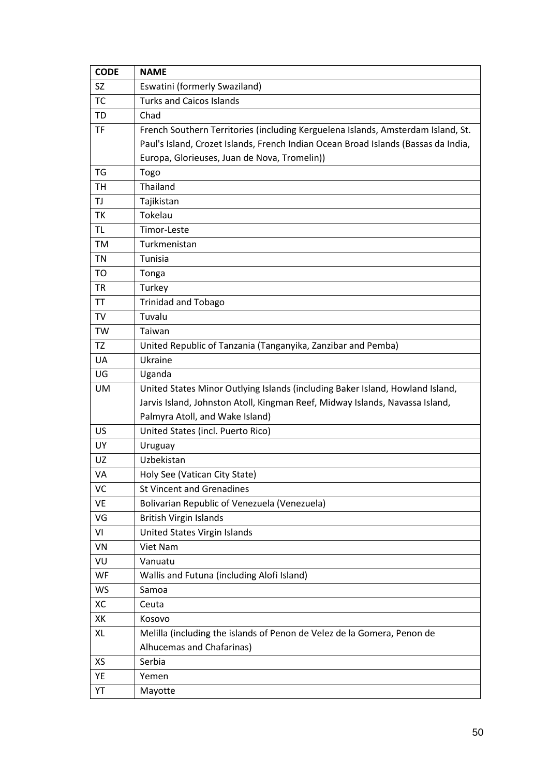| <b>CODE</b> | <b>NAME</b>                                                                        |
|-------------|------------------------------------------------------------------------------------|
| SZ          | Eswatini (formerly Swaziland)                                                      |
| TC          | <b>Turks and Caicos Islands</b>                                                    |
| TD          | Chad                                                                               |
| TF          | French Southern Territories (including Kerguelena Islands, Amsterdam Island, St.   |
|             | Paul's Island, Crozet Islands, French Indian Ocean Broad Islands (Bassas da India, |
|             | Europa, Glorieuses, Juan de Nova, Tromelin))                                       |
| TG          | Togo                                                                               |
| TH          | Thailand                                                                           |
| TJ          | Tajikistan                                                                         |
| ТK          | Tokelau                                                                            |
| TL          | Timor-Leste                                                                        |
| <b>TM</b>   | Turkmenistan                                                                       |
| TN          | Tunisia                                                                            |
| <b>TO</b>   | Tonga                                                                              |
| <b>TR</b>   | Turkey                                                                             |
| <b>TT</b>   | <b>Trinidad and Tobago</b>                                                         |
| TV          | Tuvalu                                                                             |
| TW          | Taiwan                                                                             |
| TZ          | United Republic of Tanzania (Tanganyika, Zanzibar and Pemba)                       |
| UA          | Ukraine                                                                            |
| UG          | Uganda                                                                             |
| <b>UM</b>   | United States Minor Outlying Islands (including Baker Island, Howland Island,      |
|             | Jarvis Island, Johnston Atoll, Kingman Reef, Midway Islands, Navassa Island,       |
|             | Palmyra Atoll, and Wake Island)                                                    |
| US          | United States (incl. Puerto Rico)                                                  |
| UY          | Uruguay                                                                            |
| UZ          | Uzbekistan                                                                         |
| VA          | Holy See (Vatican City State)                                                      |
| VC          | <b>St Vincent and Grenadines</b>                                                   |
| VE          | Bolivarian Republic of Venezuela (Venezuela)                                       |
| VG          | <b>British Virgin Islands</b>                                                      |
| VI          | United States Virgin Islands                                                       |
| VN          | Viet Nam                                                                           |
| VU          | Vanuatu                                                                            |
| WF          | Wallis and Futuna (including Alofi Island)                                         |
| WS          | Samoa                                                                              |
| XC          | Ceuta                                                                              |
| XK          | Kosovo                                                                             |
| XL          | Melilla (including the islands of Penon de Velez de la Gomera, Penon de            |
|             | Alhucemas and Chafarinas)                                                          |
| XS          | Serbia                                                                             |
| YE          | Yemen                                                                              |
| YT          | Mayotte                                                                            |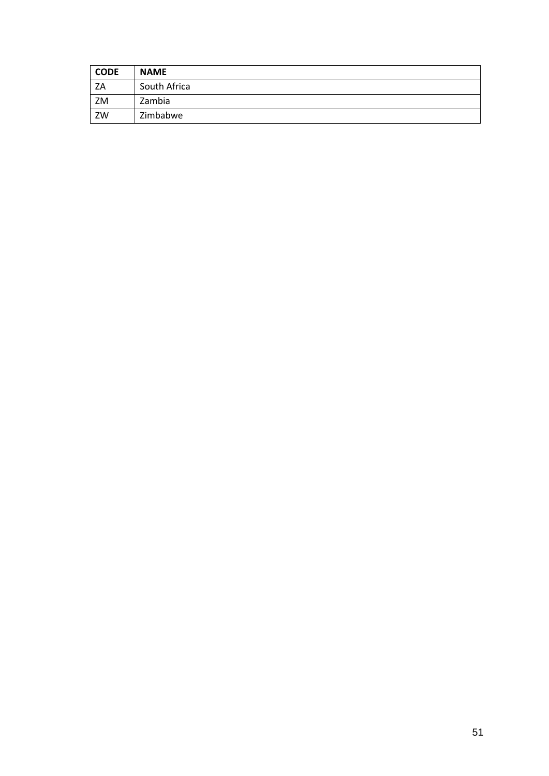| <b>CODE</b> | <b>NAME</b>  |
|-------------|--------------|
| ZA          | South Africa |
| ZM          | Zambia       |
| ZW          | Zimbabwe     |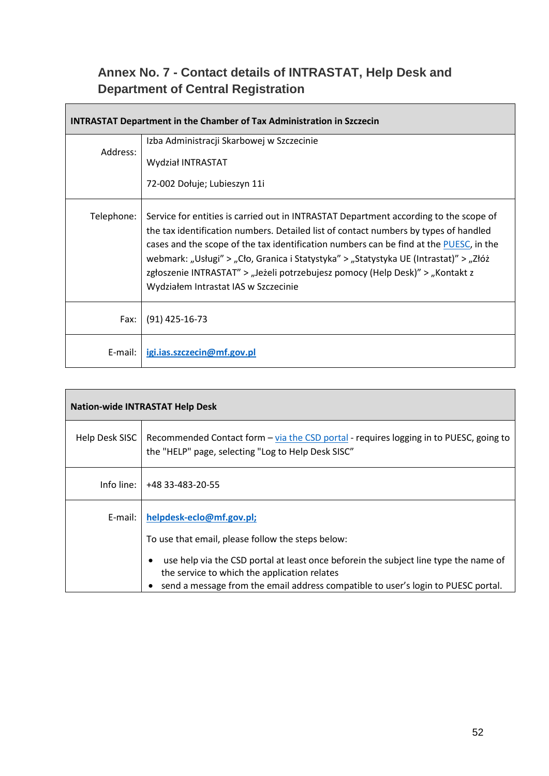### <span id="page-51-0"></span>**Annex No. 7 - Contact details of INTRASTAT, Help Desk and Department of Central Registration**

| <b>INTRASTAT Department in the Chamber of Tax Administration in Szczecin</b> |                                                                                                                                                                                                                                                                                                                                                                                                                                                                                           |  |
|------------------------------------------------------------------------------|-------------------------------------------------------------------------------------------------------------------------------------------------------------------------------------------------------------------------------------------------------------------------------------------------------------------------------------------------------------------------------------------------------------------------------------------------------------------------------------------|--|
| Address:                                                                     | Izba Administracji Skarbowej w Szczecinie                                                                                                                                                                                                                                                                                                                                                                                                                                                 |  |
|                                                                              | Wydział INTRASTAT                                                                                                                                                                                                                                                                                                                                                                                                                                                                         |  |
|                                                                              | 72-002 Dołuje; Lubieszyn 11i                                                                                                                                                                                                                                                                                                                                                                                                                                                              |  |
| Telephone:                                                                   | Service for entities is carried out in INTRASTAT Department according to the scope of<br>the tax identification numbers. Detailed list of contact numbers by types of handled<br>cases and the scope of the tax identification numbers can be find at the PUESC, in the<br>webmark: "Usługi" > "Cło, Granica i Statystyka" > "Statystyka UE (Intrastat)" > "Złóż<br>zgłoszenie INTRASTAT" > "Jeżeli potrzebujesz pomocy (Help Desk)" > "Kontakt z<br>Wydziałem Intrastat IAS w Szczecinie |  |
| Fax:                                                                         | $(91)$ 425-16-73                                                                                                                                                                                                                                                                                                                                                                                                                                                                          |  |
| E-mail:                                                                      | igi.ias.szczecin@mf.gov.pl                                                                                                                                                                                                                                                                                                                                                                                                                                                                |  |

| <b>Nation-wide INTRASTAT Help Desk</b> |                                                                                                                                                                                                                           |  |
|----------------------------------------|---------------------------------------------------------------------------------------------------------------------------------------------------------------------------------------------------------------------------|--|
| Help Desk SISC                         | Recommended Contact form – via the CSD portal - requires logging in to PUESC, going to<br>the "HELP" page, selecting "Log to Help Desk SISC"                                                                              |  |
|                                        | Info line:   +48 33-483-20-55                                                                                                                                                                                             |  |
| E-mail:                                | helpdesk-eclo@mf.gov.pl;<br>To use that email, please follow the steps below:                                                                                                                                             |  |
|                                        | use help via the CSD portal at least once beforein the subject line type the name of<br>the service to which the application relates<br>send a message from the email address compatible to user's login to PUESC portal. |  |